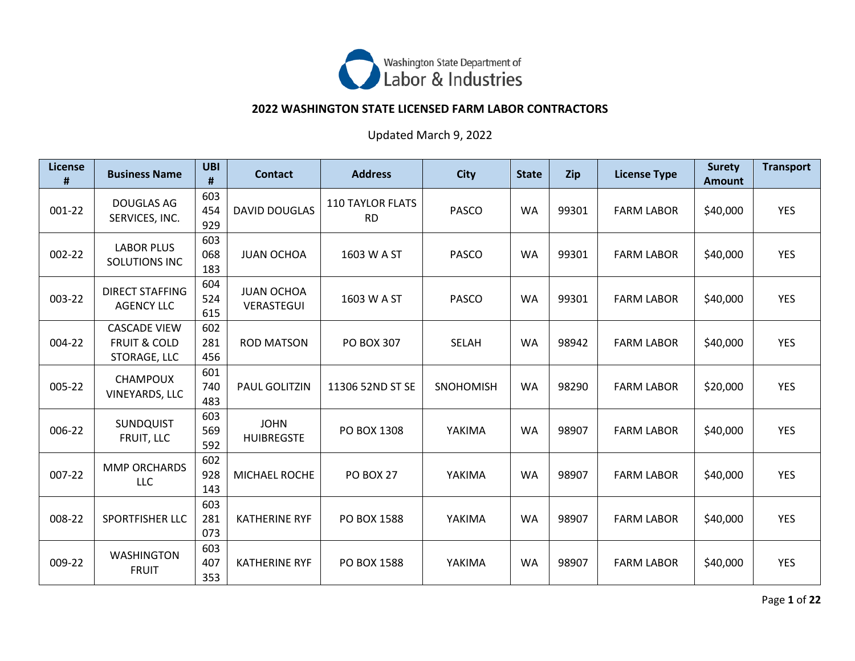

## **2022 WASHINGTON STATE LICENSED FARM LABOR CONTRACTORS**

Updated March 9, 2022

| <b>License</b><br># | <b>Business Name</b>                                           | <b>UBI</b><br>#   | <b>Contact</b>                   | <b>Address</b>                       | <b>City</b>      | <b>State</b> | Zip   | <b>License Type</b> | <b>Surety</b><br><b>Amount</b> | <b>Transport</b> |
|---------------------|----------------------------------------------------------------|-------------------|----------------------------------|--------------------------------------|------------------|--------------|-------|---------------------|--------------------------------|------------------|
| 001-22              | <b>DOUGLAS AG</b><br>SERVICES, INC.                            | 603<br>454<br>929 | <b>DAVID DOUGLAS</b>             | <b>110 TAYLOR FLATS</b><br><b>RD</b> | <b>PASCO</b>     | <b>WA</b>    | 99301 | <b>FARM LABOR</b>   | \$40,000                       | <b>YES</b>       |
| 002-22              | <b>LABOR PLUS</b><br><b>SOLUTIONS INC</b>                      | 603<br>068<br>183 | <b>JUAN OCHOA</b>                | 1603 W A ST                          | <b>PASCO</b>     | <b>WA</b>    | 99301 | <b>FARM LABOR</b>   | \$40,000                       | <b>YES</b>       |
| 003-22              | <b>DIRECT STAFFING</b><br><b>AGENCY LLC</b>                    | 604<br>524<br>615 | <b>JUAN OCHOA</b><br>VERASTEGUI  | 1603 W A ST                          | <b>PASCO</b>     | <b>WA</b>    | 99301 | <b>FARM LABOR</b>   | \$40,000                       | <b>YES</b>       |
| 004-22              | <b>CASCADE VIEW</b><br><b>FRUIT &amp; COLD</b><br>STORAGE, LLC | 602<br>281<br>456 | <b>ROD MATSON</b>                | <b>PO BOX 307</b>                    | <b>SELAH</b>     | <b>WA</b>    | 98942 | <b>FARM LABOR</b>   | \$40,000                       | <b>YES</b>       |
| 005-22              | <b>CHAMPOUX</b><br><b>VINEYARDS, LLC</b>                       | 601<br>740<br>483 | PAUL GOLITZIN                    | 11306 52ND ST SE                     | <b>SNOHOMISH</b> | <b>WA</b>    | 98290 | <b>FARM LABOR</b>   | \$20,000                       | <b>YES</b>       |
| 006-22              | <b>SUNDQUIST</b><br>FRUIT, LLC                                 | 603<br>569<br>592 | <b>JOHN</b><br><b>HUIBREGSTE</b> | PO BOX 1308                          | YAKIMA           | <b>WA</b>    | 98907 | <b>FARM LABOR</b>   | \$40,000                       | <b>YES</b>       |
| 007-22              | <b>MMP ORCHARDS</b><br>LLC                                     | 602<br>928<br>143 | <b>MICHAEL ROCHE</b>             | <b>PO BOX 27</b>                     | YAKIMA           | <b>WA</b>    | 98907 | <b>FARM LABOR</b>   | \$40,000                       | <b>YES</b>       |
| 008-22              | <b>SPORTFISHER LLC</b>                                         | 603<br>281<br>073 | <b>KATHERINE RYF</b>             | PO BOX 1588                          | YAKIMA           | <b>WA</b>    | 98907 | <b>FARM LABOR</b>   | \$40,000                       | <b>YES</b>       |
| 009-22              | <b>WASHINGTON</b><br><b>FRUIT</b>                              | 603<br>407<br>353 | <b>KATHERINE RYF</b>             | PO BOX 1588                          | YAKIMA           | <b>WA</b>    | 98907 | <b>FARM LABOR</b>   | \$40,000                       | <b>YES</b>       |

Page **1** of **22**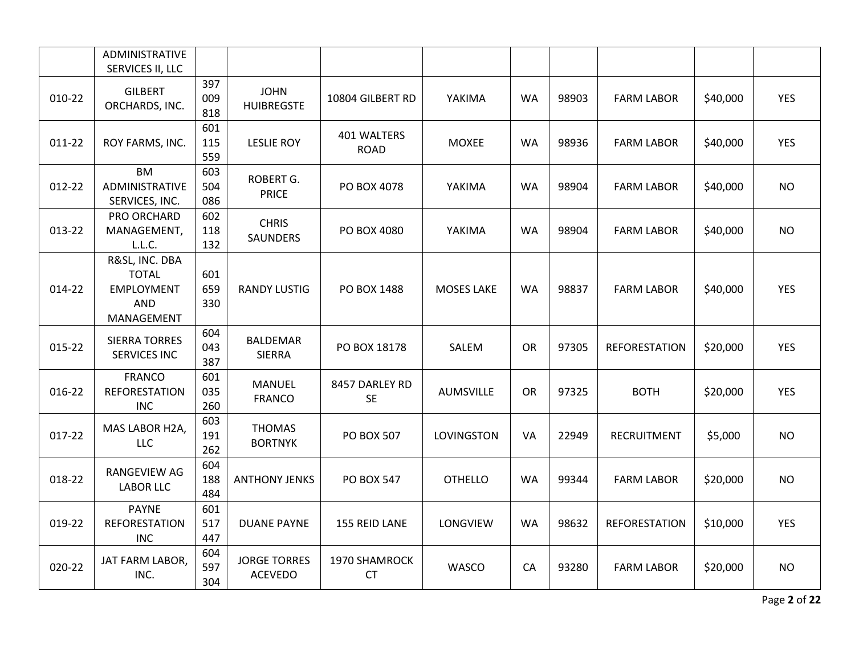|        | ADMINISTRATIVE<br>SERVICES II, LLC                                              |                   |                                       |                             |                   |           |       |                      |          |            |
|--------|---------------------------------------------------------------------------------|-------------------|---------------------------------------|-----------------------------|-------------------|-----------|-------|----------------------|----------|------------|
| 010-22 | <b>GILBERT</b><br>ORCHARDS, INC.                                                | 397<br>009<br>818 | <b>JOHN</b><br><b>HUIBREGSTE</b>      | 10804 GILBERT RD            | YAKIMA            | <b>WA</b> | 98903 | <b>FARM LABOR</b>    | \$40,000 | <b>YES</b> |
| 011-22 | ROY FARMS, INC.                                                                 | 601<br>115<br>559 | <b>LESLIE ROY</b>                     | 401 WALTERS<br><b>ROAD</b>  | <b>MOXEE</b>      | WA        | 98936 | <b>FARM LABOR</b>    | \$40,000 | <b>YES</b> |
| 012-22 | <b>BM</b><br>ADMINISTRATIVE<br>SERVICES, INC.                                   | 603<br>504<br>086 | ROBERT G.<br><b>PRICE</b>             | PO BOX 4078                 | YAKIMA            | <b>WA</b> | 98904 | <b>FARM LABOR</b>    | \$40,000 | <b>NO</b>  |
| 013-22 | PRO ORCHARD<br>MANAGEMENT,<br>L.L.C.                                            | 602<br>118<br>132 | <b>CHRIS</b><br>SAUNDERS              | PO BOX 4080                 | YAKIMA            | <b>WA</b> | 98904 | <b>FARM LABOR</b>    | \$40,000 | <b>NO</b>  |
| 014-22 | R&SL, INC. DBA<br><b>TOTAL</b><br><b>EMPLOYMENT</b><br><b>AND</b><br>MANAGEMENT | 601<br>659<br>330 | <b>RANDY LUSTIG</b>                   | PO BOX 1488                 | <b>MOSES LAKE</b> | <b>WA</b> | 98837 | <b>FARM LABOR</b>    | \$40,000 | <b>YES</b> |
| 015-22 | <b>SIERRA TORRES</b><br><b>SERVICES INC</b>                                     | 604<br>043<br>387 | <b>BALDEMAR</b><br><b>SIERRA</b>      | PO BOX 18178                | SALEM             | <b>OR</b> | 97305 | <b>REFORESTATION</b> | \$20,000 | <b>YES</b> |
| 016-22 | <b>FRANCO</b><br><b>REFORESTATION</b><br><b>INC</b>                             | 601<br>035<br>260 | <b>MANUEL</b><br><b>FRANCO</b>        | 8457 DARLEY RD<br><b>SE</b> | <b>AUMSVILLE</b>  | <b>OR</b> | 97325 | <b>BOTH</b>          | \$20,000 | <b>YES</b> |
| 017-22 | MAS LABOR H2A,<br><b>LLC</b>                                                    | 603<br>191<br>262 | <b>THOMAS</b><br><b>BORTNYK</b>       | <b>PO BOX 507</b>           | LOVINGSTON        | <b>VA</b> | 22949 | <b>RECRUITMENT</b>   | \$5,000  | <b>NO</b>  |
| 018-22 | RANGEVIEW AG<br><b>LABOR LLC</b>                                                | 604<br>188<br>484 | <b>ANTHONY JENKS</b>                  | <b>PO BOX 547</b>           | <b>OTHELLO</b>    | <b>WA</b> | 99344 | <b>FARM LABOR</b>    | \$20,000 | <b>NO</b>  |
| 019-22 | <b>PAYNE</b><br><b>REFORESTATION</b><br><b>INC</b>                              | 601<br>517<br>447 | <b>DUANE PAYNE</b>                    | 155 REID LANE               | LONGVIEW          | <b>WA</b> | 98632 | <b>REFORESTATION</b> | \$10,000 | <b>YES</b> |
| 020-22 | JAT FARM LABOR,<br>INC.                                                         | 604<br>597<br>304 | <b>JORGE TORRES</b><br><b>ACEVEDO</b> | 1970 SHAMROCK<br><b>CT</b>  | WASCO             | CA        | 93280 | <b>FARM LABOR</b>    | \$20,000 | <b>NO</b>  |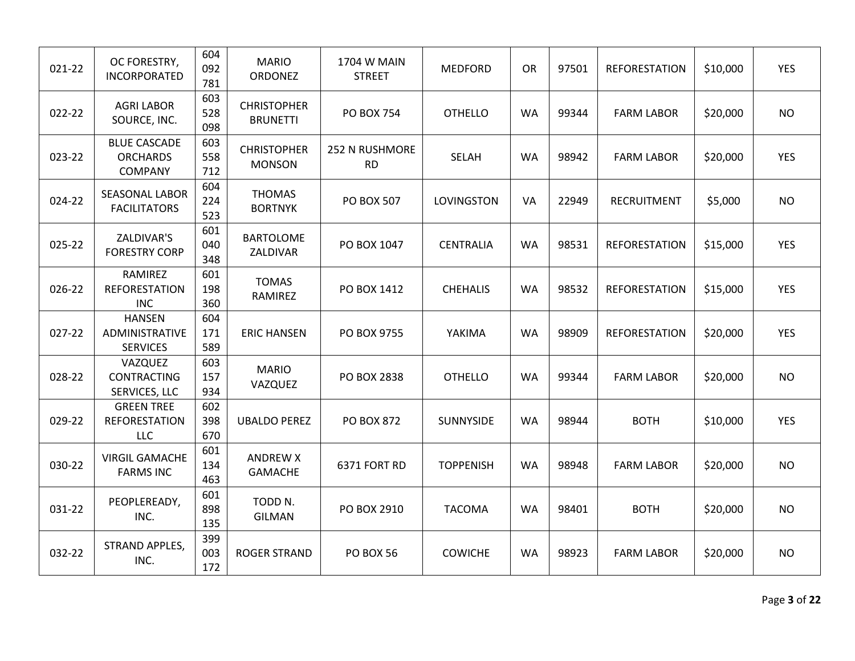| 021-22 | OC FORESTRY,<br>INCORPORATED                       | 604<br>092<br>781 | <b>MARIO</b><br>ORDONEZ               | 1704 W MAIN<br><b>STREET</b> | <b>MEDFORD</b>   | <b>OR</b> | 97501 | <b>REFORESTATION</b> | \$10,000 | <b>YES</b> |
|--------|----------------------------------------------------|-------------------|---------------------------------------|------------------------------|------------------|-----------|-------|----------------------|----------|------------|
| 022-22 | <b>AGRI LABOR</b><br>SOURCE, INC.                  | 603<br>528<br>098 | <b>CHRISTOPHER</b><br><b>BRUNETTI</b> | <b>PO BOX 754</b>            | <b>OTHELLO</b>   | <b>WA</b> | 99344 | <b>FARM LABOR</b>    | \$20,000 | <b>NO</b>  |
| 023-22 | <b>BLUE CASCADE</b><br><b>ORCHARDS</b><br>COMPANY  | 603<br>558<br>712 | <b>CHRISTOPHER</b><br><b>MONSON</b>   | 252 N RUSHMORE<br><b>RD</b>  | SELAH            | <b>WA</b> | 98942 | <b>FARM LABOR</b>    | \$20,000 | <b>YES</b> |
| 024-22 | SEASONAL LABOR<br><b>FACILITATORS</b>              | 604<br>224<br>523 | <b>THOMAS</b><br><b>BORTNYK</b>       | <b>PO BOX 507</b>            | LOVINGSTON       | VA        | 22949 | <b>RECRUITMENT</b>   | \$5,000  | <b>NO</b>  |
| 025-22 | ZALDIVAR'S<br><b>FORESTRY CORP</b>                 | 601<br>040<br>348 | <b>BARTOLOME</b><br>ZALDIVAR          | PO BOX 1047                  | <b>CENTRALIA</b> | <b>WA</b> | 98531 | <b>REFORESTATION</b> | \$15,000 | <b>YES</b> |
| 026-22 | RAMIREZ<br><b>REFORESTATION</b><br><b>INC</b>      | 601<br>198<br>360 | <b>TOMAS</b><br>RAMIREZ               | PO BOX 1412                  | <b>CHEHALIS</b>  | <b>WA</b> | 98532 | <b>REFORESTATION</b> | \$15,000 | <b>YES</b> |
| 027-22 | <b>HANSEN</b><br>ADMINISTRATIVE<br><b>SERVICES</b> | 604<br>171<br>589 | <b>ERIC HANSEN</b>                    | PO BOX 9755                  | YAKIMA           | <b>WA</b> | 98909 | <b>REFORESTATION</b> | \$20,000 | <b>YES</b> |
| 028-22 | VAZQUEZ<br><b>CONTRACTING</b><br>SERVICES, LLC     | 603<br>157<br>934 | <b>MARIO</b><br>VAZQUEZ               | <b>PO BOX 2838</b>           | <b>OTHELLO</b>   | <b>WA</b> | 99344 | <b>FARM LABOR</b>    | \$20,000 | <b>NO</b>  |
| 029-22 | <b>GREEN TREE</b><br><b>REFORESTATION</b><br>LLC   | 602<br>398<br>670 | <b>UBALDO PEREZ</b>                   | <b>PO BOX 872</b>            | SUNNYSIDE        | <b>WA</b> | 98944 | <b>BOTH</b>          | \$10,000 | <b>YES</b> |
| 030-22 | <b>VIRGIL GAMACHE</b><br><b>FARMS INC</b>          | 601<br>134<br>463 | <b>ANDREW X</b><br><b>GAMACHE</b>     | 6371 FORT RD                 | <b>TOPPENISH</b> | <b>WA</b> | 98948 | <b>FARM LABOR</b>    | \$20,000 | <b>NO</b>  |
| 031-22 | PEOPLEREADY,<br>INC.                               | 601<br>898<br>135 | TODD N.<br><b>GILMAN</b>              | PO BOX 2910                  | <b>TACOMA</b>    | <b>WA</b> | 98401 | <b>BOTH</b>          | \$20,000 | <b>NO</b>  |
| 032-22 | STRAND APPLES,<br>INC.                             | 399<br>003<br>172 | <b>ROGER STRAND</b>                   | <b>PO BOX 56</b>             | <b>COWICHE</b>   | <b>WA</b> | 98923 | <b>FARM LABOR</b>    | \$20,000 | <b>NO</b>  |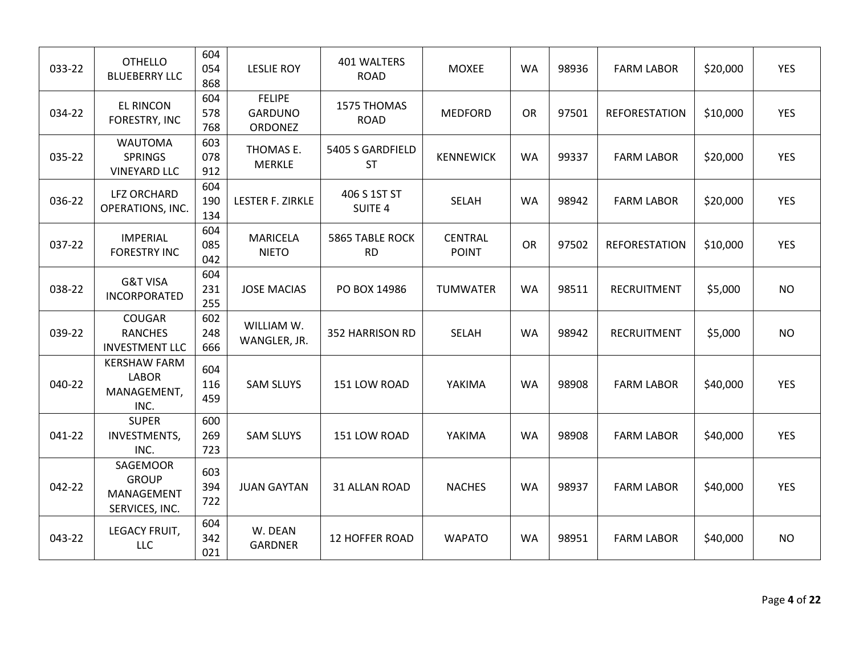| 033-22 | <b>OTHELLO</b><br><b>BLUEBERRY LLC</b>                     | 604<br>054<br>868 | <b>LESLIE ROY</b>                          | 401 WALTERS<br><b>ROAD</b>          | <b>MOXEE</b>                   | <b>WA</b> | 98936 | <b>FARM LABOR</b>    | \$20,000 | <b>YES</b> |
|--------|------------------------------------------------------------|-------------------|--------------------------------------------|-------------------------------------|--------------------------------|-----------|-------|----------------------|----------|------------|
| 034-22 | <b>EL RINCON</b><br>FORESTRY, INC                          | 604<br>578<br>768 | <b>FELIPE</b><br><b>GARDUNO</b><br>ORDONEZ | 1575 THOMAS<br><b>ROAD</b>          | <b>MEDFORD</b>                 | <b>OR</b> | 97501 | <b>REFORESTATION</b> | \$10,000 | <b>YES</b> |
| 035-22 | <b>WAUTOMA</b><br><b>SPRINGS</b><br><b>VINEYARD LLC</b>    | 603<br>078<br>912 | THOMAS E.<br><b>MERKLE</b>                 | 5405 S GARDFIELD<br><b>ST</b>       | <b>KENNEWICK</b>               | <b>WA</b> | 99337 | <b>FARM LABOR</b>    | \$20,000 | <b>YES</b> |
| 036-22 | <b>LFZ ORCHARD</b><br>OPERATIONS, INC.                     | 604<br>190<br>134 | LESTER F. ZIRKLE                           | 406 S 1ST ST<br><b>SUITE 4</b>      | <b>SELAH</b>                   | <b>WA</b> | 98942 | <b>FARM LABOR</b>    | \$20,000 | <b>YES</b> |
| 037-22 | <b>IMPERIAL</b><br><b>FORESTRY INC</b>                     | 604<br>085<br>042 | <b>MARICELA</b><br><b>NIETO</b>            | <b>5865 TABLE ROCK</b><br><b>RD</b> | <b>CENTRAL</b><br><b>POINT</b> | <b>OR</b> | 97502 | <b>REFORESTATION</b> | \$10,000 | <b>YES</b> |
| 038-22 | <b>G&amp;T VISA</b><br><b>INCORPORATED</b>                 | 604<br>231<br>255 | <b>JOSE MACIAS</b>                         | PO BOX 14986                        | <b>TUMWATER</b>                | <b>WA</b> | 98511 | <b>RECRUITMENT</b>   | \$5,000  | <b>NO</b>  |
| 039-22 | COUGAR<br><b>RANCHES</b><br><b>INVESTMENT LLC</b>          | 602<br>248<br>666 | WILLIAM W.<br>WANGLER, JR.                 | 352 HARRISON RD                     | <b>SELAH</b>                   | <b>WA</b> | 98942 | RECRUITMENT          | \$5,000  | <b>NO</b>  |
| 040-22 | <b>KERSHAW FARM</b><br><b>LABOR</b><br>MANAGEMENT,<br>INC. | 604<br>116<br>459 | <b>SAM SLUYS</b>                           | 151 LOW ROAD                        | YAKIMA                         | <b>WA</b> | 98908 | <b>FARM LABOR</b>    | \$40,000 | <b>YES</b> |
| 041-22 | <b>SUPER</b><br>INVESTMENTS,<br>INC.                       | 600<br>269<br>723 | <b>SAM SLUYS</b>                           | 151 LOW ROAD                        | YAKIMA                         | <b>WA</b> | 98908 | <b>FARM LABOR</b>    | \$40,000 | <b>YES</b> |
| 042-22 | SAGEMOOR<br><b>GROUP</b><br>MANAGEMENT<br>SERVICES, INC.   | 603<br>394<br>722 | <b>JUAN GAYTAN</b>                         | 31 ALLAN ROAD                       | <b>NACHES</b>                  | <b>WA</b> | 98937 | <b>FARM LABOR</b>    | \$40,000 | <b>YES</b> |
| 043-22 | LEGACY FRUIT,<br><b>LLC</b>                                | 604<br>342<br>021 | W. DEAN<br><b>GARDNER</b>                  | <b>12 HOFFER ROAD</b>               | <b>WAPATO</b>                  | <b>WA</b> | 98951 | <b>FARM LABOR</b>    | \$40,000 | <b>NO</b>  |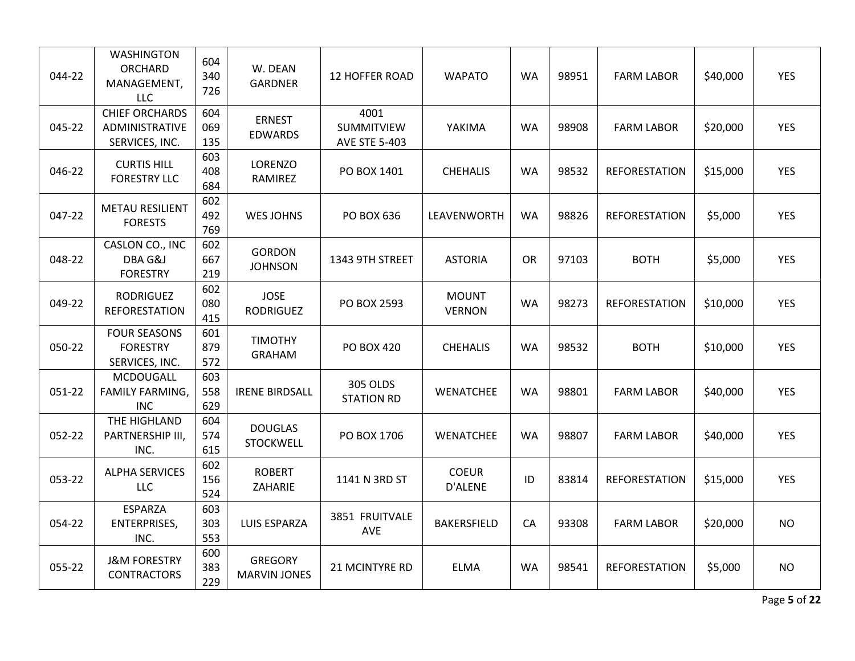| 044-22 | <b>WASHINGTON</b><br>ORCHARD<br>MANAGEMENT,<br>LLC.       | 604<br>340<br>726 | W. DEAN<br><b>GARDNER</b>             | 12 HOFFER ROAD                             | <b>WAPATO</b>                 | <b>WA</b> | 98951 | <b>FARM LABOR</b>    | \$40,000 | <b>YES</b> |
|--------|-----------------------------------------------------------|-------------------|---------------------------------------|--------------------------------------------|-------------------------------|-----------|-------|----------------------|----------|------------|
| 045-22 | <b>CHIEF ORCHARDS</b><br>ADMINISTRATIVE<br>SERVICES, INC. | 604<br>069<br>135 | <b>ERNEST</b><br><b>EDWARDS</b>       | 4001<br>SUMMITVIEW<br><b>AVE STE 5-403</b> | YAKIMA                        | <b>WA</b> | 98908 | <b>FARM LABOR</b>    | \$20,000 | <b>YES</b> |
| 046-22 | <b>CURTIS HILL</b><br><b>FORESTRY LLC</b>                 | 603<br>408<br>684 | LORENZO<br>RAMIREZ                    | PO BOX 1401                                | <b>CHEHALIS</b>               | <b>WA</b> | 98532 | <b>REFORESTATION</b> | \$15,000 | <b>YES</b> |
| 047-22 | <b>METAU RESILIENT</b><br><b>FORESTS</b>                  | 602<br>492<br>769 | <b>WES JOHNS</b>                      | PO BOX 636                                 | LEAVENWORTH                   | <b>WA</b> | 98826 | <b>REFORESTATION</b> | \$5,000  | <b>YES</b> |
| 048-22 | CASLON CO., INC<br>DBA G&J<br><b>FORESTRY</b>             | 602<br>667<br>219 | <b>GORDON</b><br><b>JOHNSON</b>       | 1343 9TH STREET                            | <b>ASTORIA</b>                | <b>OR</b> | 97103 | <b>BOTH</b>          | \$5,000  | <b>YES</b> |
| 049-22 | <b>RODRIGUEZ</b><br><b>REFORESTATION</b>                  | 602<br>080<br>415 | <b>JOSE</b><br><b>RODRIGUEZ</b>       | PO BOX 2593                                | <b>MOUNT</b><br><b>VERNON</b> | <b>WA</b> | 98273 | <b>REFORESTATION</b> | \$10,000 | <b>YES</b> |
| 050-22 | <b>FOUR SEASONS</b><br><b>FORESTRY</b><br>SERVICES, INC.  | 601<br>879<br>572 | <b>TIMOTHY</b><br><b>GRAHAM</b>       | <b>PO BOX 420</b>                          | <b>CHEHALIS</b>               | <b>WA</b> | 98532 | <b>BOTH</b>          | \$10,000 | <b>YES</b> |
| 051-22 | MCDOUGALL<br>FAMILY FARMING,<br><b>INC</b>                | 603<br>558<br>629 | <b>IRENE BIRDSALL</b>                 | 305 OLDS<br><b>STATION RD</b>              | WENATCHEE                     | <b>WA</b> | 98801 | <b>FARM LABOR</b>    | \$40,000 | <b>YES</b> |
| 052-22 | THE HIGHLAND<br>PARTNERSHIP III,<br>INC.                  | 604<br>574<br>615 | <b>DOUGLAS</b><br><b>STOCKWELL</b>    | PO BOX 1706                                | WENATCHEE                     | <b>WA</b> | 98807 | <b>FARM LABOR</b>    | \$40,000 | <b>YES</b> |
| 053-22 | <b>ALPHA SERVICES</b><br><b>LLC</b>                       | 602<br>156<br>524 | <b>ROBERT</b><br>ZAHARIE              | 1141 N 3RD ST                              | <b>COEUR</b><br>D'ALENE       | ID        | 83814 | <b>REFORESTATION</b> | \$15,000 | <b>YES</b> |
| 054-22 | <b>ESPARZA</b><br>ENTERPRISES,<br>INC.                    | 603<br>303<br>553 | <b>LUIS ESPARZA</b>                   | 3851 FRUITVALE<br><b>AVE</b>               | <b>BAKERSFIELD</b>            | CA        | 93308 | <b>FARM LABOR</b>    | \$20,000 | <b>NO</b>  |
| 055-22 | <b>J&amp;M FORESTRY</b><br><b>CONTRACTORS</b>             | 600<br>383<br>229 | <b>GREGORY</b><br><b>MARVIN JONES</b> | 21 MCINTYRE RD                             | <b>ELMA</b>                   | <b>WA</b> | 98541 | <b>REFORESTATION</b> | \$5,000  | <b>NO</b>  |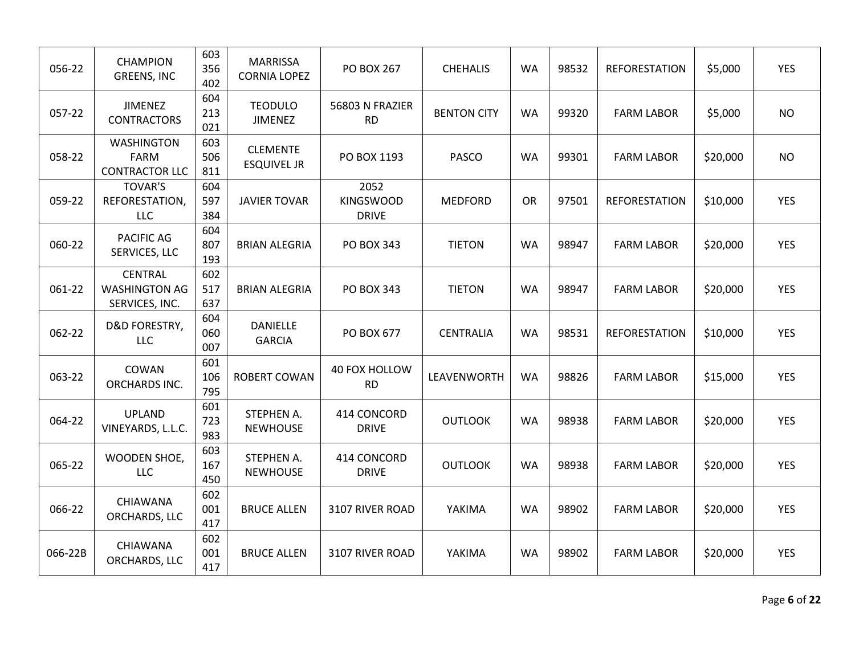| 056-22  | <b>CHAMPION</b><br><b>GREENS, INC</b>                     | 603<br>356<br>402 | <b>MARRISSA</b><br><b>CORNIA LOPEZ</b> | <b>PO BOX 267</b>                        | <b>CHEHALIS</b>    | <b>WA</b> | 98532 | <b>REFORESTATION</b> | \$5,000  | <b>YES</b> |
|---------|-----------------------------------------------------------|-------------------|----------------------------------------|------------------------------------------|--------------------|-----------|-------|----------------------|----------|------------|
| 057-22  | <b>JIMENEZ</b><br><b>CONTRACTORS</b>                      | 604<br>213<br>021 | <b>TEODULO</b><br><b>JIMENEZ</b>       | 56803 N FRAZIER<br><b>RD</b>             | <b>BENTON CITY</b> | <b>WA</b> | 99320 | <b>FARM LABOR</b>    | \$5,000  | <b>NO</b>  |
| 058-22  | <b>WASHINGTON</b><br><b>FARM</b><br><b>CONTRACTOR LLC</b> | 603<br>506<br>811 | <b>CLEMENTE</b><br><b>ESQUIVEL JR</b>  | PO BOX 1193                              | <b>PASCO</b>       | <b>WA</b> | 99301 | <b>FARM LABOR</b>    | \$20,000 | <b>NO</b>  |
| 059-22  | <b>TOVAR'S</b><br>REFORESTATION,<br>LLC                   | 604<br>597<br>384 | <b>JAVIER TOVAR</b>                    | 2052<br><b>KINGSWOOD</b><br><b>DRIVE</b> | <b>MEDFORD</b>     | <b>OR</b> | 97501 | <b>REFORESTATION</b> | \$10,000 | <b>YES</b> |
| 060-22  | PACIFIC AG<br>SERVICES, LLC                               | 604<br>807<br>193 | <b>BRIAN ALEGRIA</b>                   | <b>PO BOX 343</b>                        | <b>TIETON</b>      | <b>WA</b> | 98947 | <b>FARM LABOR</b>    | \$20,000 | <b>YES</b> |
| 061-22  | <b>CENTRAL</b><br><b>WASHINGTON AG</b><br>SERVICES, INC.  | 602<br>517<br>637 | <b>BRIAN ALEGRIA</b>                   | <b>PO BOX 343</b>                        | <b>TIETON</b>      | <b>WA</b> | 98947 | <b>FARM LABOR</b>    | \$20,000 | <b>YES</b> |
| 062-22  | D&D FORESTRY,<br><b>LLC</b>                               | 604<br>060<br>007 | <b>DANIELLE</b><br><b>GARCIA</b>       | PO BOX 677                               | <b>CENTRALIA</b>   | <b>WA</b> | 98531 | <b>REFORESTATION</b> | \$10,000 | <b>YES</b> |
| 063-22  | COWAN<br>ORCHARDS INC.                                    | 601<br>106<br>795 | ROBERT COWAN                           | 40 FOX HOLLOW<br><b>RD</b>               | LEAVENWORTH        | <b>WA</b> | 98826 | <b>FARM LABOR</b>    | \$15,000 | <b>YES</b> |
| 064-22  | <b>UPLAND</b><br>VINEYARDS, L.L.C.                        | 601<br>723<br>983 | STEPHEN A.<br><b>NEWHOUSE</b>          | 414 CONCORD<br><b>DRIVE</b>              | <b>OUTLOOK</b>     | <b>WA</b> | 98938 | <b>FARM LABOR</b>    | \$20,000 | <b>YES</b> |
| 065-22  | WOODEN SHOE,<br><b>LLC</b>                                | 603<br>167<br>450 | STEPHEN A.<br><b>NEWHOUSE</b>          | 414 CONCORD<br><b>DRIVE</b>              | <b>OUTLOOK</b>     | <b>WA</b> | 98938 | <b>FARM LABOR</b>    | \$20,000 | <b>YES</b> |
| 066-22  | CHIAWANA<br>ORCHARDS, LLC                                 | 602<br>001<br>417 | <b>BRUCE ALLEN</b>                     | 3107 RIVER ROAD                          | YAKIMA             | <b>WA</b> | 98902 | <b>FARM LABOR</b>    | \$20,000 | <b>YES</b> |
| 066-22B | <b>CHIAWANA</b><br>ORCHARDS, LLC                          | 602<br>001<br>417 | <b>BRUCE ALLEN</b>                     | 3107 RIVER ROAD                          | YAKIMA             | <b>WA</b> | 98902 | <b>FARM LABOR</b>    | \$20,000 | <b>YES</b> |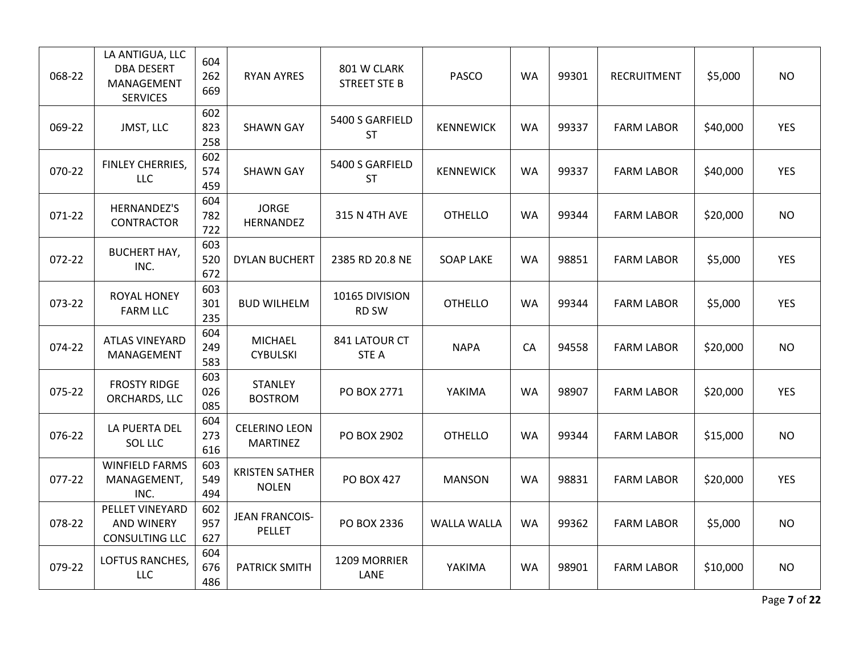| 068-22 | LA ANTIGUA, LLC<br><b>DBA DESERT</b><br>MANAGEMENT<br><b>SERVICES</b> | 604<br>262<br>669 | <b>RYAN AYRES</b>                       | 801 W CLARK<br><b>STREET STE B</b> | <b>PASCO</b>       | <b>WA</b> | 99301 | RECRUITMENT       | \$5,000  | <b>NO</b>  |
|--------|-----------------------------------------------------------------------|-------------------|-----------------------------------------|------------------------------------|--------------------|-----------|-------|-------------------|----------|------------|
| 069-22 | JMST, LLC                                                             | 602<br>823<br>258 | <b>SHAWN GAY</b>                        | 5400 S GARFIELD<br><b>ST</b>       | <b>KENNEWICK</b>   | <b>WA</b> | 99337 | <b>FARM LABOR</b> | \$40,000 | <b>YES</b> |
| 070-22 | FINLEY CHERRIES,<br>LLC.                                              | 602<br>574<br>459 | <b>SHAWN GAY</b>                        | 5400 S GARFIELD<br><b>ST</b>       | <b>KENNEWICK</b>   | <b>WA</b> | 99337 | <b>FARM LABOR</b> | \$40,000 | <b>YES</b> |
| 071-22 | <b>HERNANDEZ'S</b><br>CONTRACTOR                                      | 604<br>782<br>722 | <b>JORGE</b><br>HERNANDEZ               | 315 N 4TH AVE                      | <b>OTHELLO</b>     | <b>WA</b> | 99344 | <b>FARM LABOR</b> | \$20,000 | <b>NO</b>  |
| 072-22 | <b>BUCHERT HAY,</b><br>INC.                                           | 603<br>520<br>672 | <b>DYLAN BUCHERT</b>                    | 2385 RD 20.8 NE                    | <b>SOAP LAKE</b>   | <b>WA</b> | 98851 | <b>FARM LABOR</b> | \$5,000  | <b>YES</b> |
| 073-22 | ROYAL HONEY<br><b>FARM LLC</b>                                        | 603<br>301<br>235 | <b>BUD WILHELM</b>                      | 10165 DIVISION<br>RD SW            | <b>OTHELLO</b>     | WA        | 99344 | <b>FARM LABOR</b> | \$5,000  | <b>YES</b> |
| 074-22 | <b>ATLAS VINEYARD</b><br>MANAGEMENT                                   | 604<br>249<br>583 | MICHAEL<br><b>CYBULSKI</b>              | 841 LATOUR CT<br><b>STE A</b>      | <b>NAPA</b>        | CA        | 94558 | <b>FARM LABOR</b> | \$20,000 | <b>NO</b>  |
| 075-22 | <b>FROSTY RIDGE</b><br>ORCHARDS, LLC                                  | 603<br>026<br>085 | <b>STANLEY</b><br><b>BOSTROM</b>        | PO BOX 2771                        | YAKIMA             | <b>WA</b> | 98907 | <b>FARM LABOR</b> | \$20,000 | <b>YES</b> |
| 076-22 | LA PUERTA DEL<br><b>SOL LLC</b>                                       | 604<br>273<br>616 | <b>CELERINO LEON</b><br><b>MARTINEZ</b> | PO BOX 2902                        | <b>OTHELLO</b>     | <b>WA</b> | 99344 | <b>FARM LABOR</b> | \$15,000 | <b>NO</b>  |
| 077-22 | <b>WINFIELD FARMS</b><br>MANAGEMENT,<br>INC.                          | 603<br>549<br>494 | <b>KRISTEN SATHER</b><br><b>NOLEN</b>   | <b>PO BOX 427</b>                  | <b>MANSON</b>      | WA        | 98831 | <b>FARM LABOR</b> | \$20,000 | <b>YES</b> |
| 078-22 | PELLET VINEYARD<br><b>AND WINERY</b><br><b>CONSULTING LLC</b>         | 602<br>957<br>627 | <b>JEAN FRANCOIS-</b><br><b>PELLET</b>  | PO BOX 2336                        | <b>WALLA WALLA</b> | <b>WA</b> | 99362 | <b>FARM LABOR</b> | \$5,000  | <b>NO</b>  |
| 079-22 | LOFTUS RANCHES,<br><b>LLC</b>                                         | 604<br>676<br>486 | <b>PATRICK SMITH</b>                    | 1209 MORRIER<br>LANE               | YAKIMA             | WA        | 98901 | <b>FARM LABOR</b> | \$10,000 | <b>NO</b>  |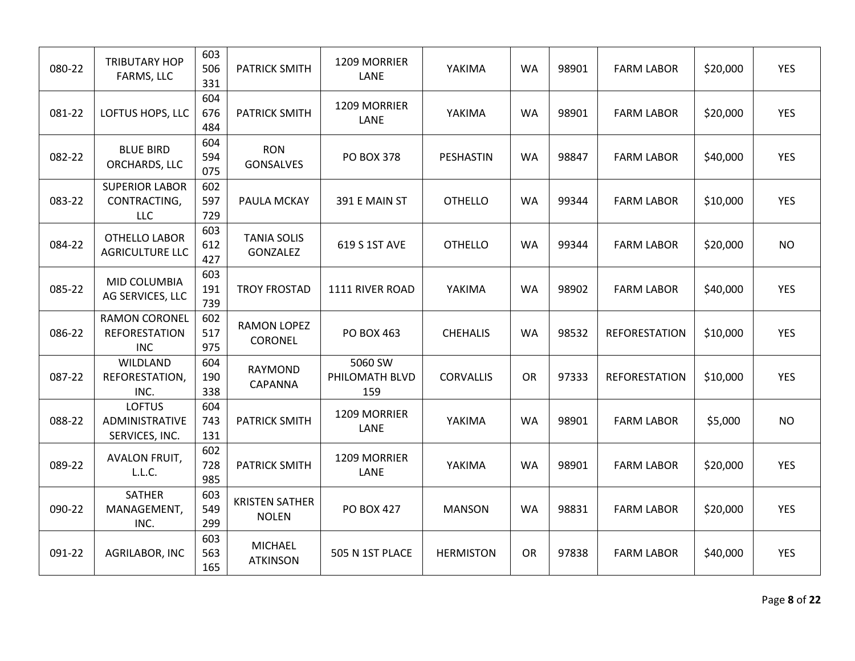| 080-22 | <b>TRIBUTARY HOP</b><br>FARMS, LLC                         | 603<br>506<br>331 | <b>PATRICK SMITH</b>                  | 1209 MORRIER<br>LANE             | YAKIMA           | <b>WA</b> | 98901 | <b>FARM LABOR</b>    | \$20,000 | <b>YES</b> |
|--------|------------------------------------------------------------|-------------------|---------------------------------------|----------------------------------|------------------|-----------|-------|----------------------|----------|------------|
| 081-22 | LOFTUS HOPS, LLC                                           | 604<br>676<br>484 | <b>PATRICK SMITH</b>                  | 1209 MORRIER<br>LANE             | YAKIMA           | <b>WA</b> | 98901 | <b>FARM LABOR</b>    | \$20,000 | <b>YES</b> |
| 082-22 | <b>BLUE BIRD</b><br>ORCHARDS, LLC                          | 604<br>594<br>075 | <b>RON</b><br><b>GONSALVES</b>        | <b>PO BOX 378</b>                | PESHASTIN        | <b>WA</b> | 98847 | <b>FARM LABOR</b>    | \$40,000 | <b>YES</b> |
| 083-22 | <b>SUPERIOR LABOR</b><br>CONTRACTING,<br><b>LLC</b>        | 602<br>597<br>729 | PAULA MCKAY                           | 391 E MAIN ST                    | <b>OTHELLO</b>   | <b>WA</b> | 99344 | <b>FARM LABOR</b>    | \$10,000 | <b>YES</b> |
| 084-22 | OTHELLO LABOR<br><b>AGRICULTURE LLC</b>                    | 603<br>612<br>427 | <b>TANIA SOLIS</b><br>GONZALEZ        | 619 S 1ST AVE                    | <b>OTHELLO</b>   | <b>WA</b> | 99344 | <b>FARM LABOR</b>    | \$20,000 | <b>NO</b>  |
| 085-22 | MID COLUMBIA<br>AG SERVICES, LLC                           | 603<br>191<br>739 | <b>TROY FROSTAD</b>                   | 1111 RIVER ROAD                  | YAKIMA           | <b>WA</b> | 98902 | <b>FARM LABOR</b>    | \$40,000 | <b>YES</b> |
| 086-22 | <b>RAMON CORONEL</b><br><b>REFORESTATION</b><br><b>INC</b> | 602<br>517<br>975 | <b>RAMON LOPEZ</b><br><b>CORONEL</b>  | <b>PO BOX 463</b>                | <b>CHEHALIS</b>  | <b>WA</b> | 98532 | <b>REFORESTATION</b> | \$10,000 | <b>YES</b> |
| 087-22 | WILDLAND<br>REFORESTATION,<br>INC.                         | 604<br>190<br>338 | RAYMOND<br><b>CAPANNA</b>             | 5060 SW<br>PHILOMATH BLVD<br>159 | <b>CORVALLIS</b> | <b>OR</b> | 97333 | <b>REFORESTATION</b> | \$10,000 | <b>YES</b> |
| 088-22 | <b>LOFTUS</b><br>ADMINISTRATIVE<br>SERVICES, INC.          | 604<br>743<br>131 | <b>PATRICK SMITH</b>                  | 1209 MORRIER<br><b>LANE</b>      | YAKIMA           | <b>WA</b> | 98901 | <b>FARM LABOR</b>    | \$5,000  | <b>NO</b>  |
| 089-22 | <b>AVALON FRUIT,</b><br>L.L.C.                             | 602<br>728<br>985 | <b>PATRICK SMITH</b>                  | 1209 MORRIER<br><b>LANE</b>      | YAKIMA           | <b>WA</b> | 98901 | <b>FARM LABOR</b>    | \$20,000 | <b>YES</b> |
| 090-22 | <b>SATHER</b><br>MANAGEMENT,<br>INC.                       | 603<br>549<br>299 | <b>KRISTEN SATHER</b><br><b>NOLEN</b> | <b>PO BOX 427</b>                | <b>MANSON</b>    | <b>WA</b> | 98831 | <b>FARM LABOR</b>    | \$20,000 | <b>YES</b> |
| 091-22 | <b>AGRILABOR, INC</b>                                      | 603<br>563<br>165 | <b>MICHAEL</b><br><b>ATKINSON</b>     | 505 N 1ST PLACE                  | <b>HERMISTON</b> | <b>OR</b> | 97838 | <b>FARM LABOR</b>    | \$40,000 | <b>YES</b> |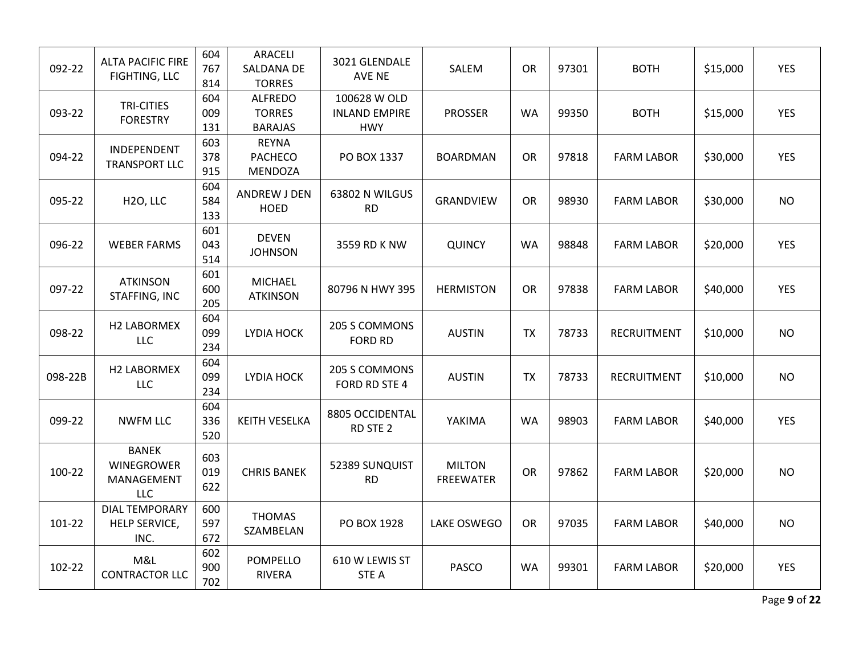| 092-22  | <b>ALTA PACIFIC FIRE</b><br><b>FIGHTING, LLC</b>       | 604<br>767<br>814 | ARACELI<br>SALDANA DE<br><b>TORRES</b>            | 3021 GLENDALE<br>AVE NE                            | SALEM                             | <b>OR</b> | 97301 | <b>BOTH</b>        | \$15,000 | <b>YES</b> |
|---------|--------------------------------------------------------|-------------------|---------------------------------------------------|----------------------------------------------------|-----------------------------------|-----------|-------|--------------------|----------|------------|
| 093-22  | <b>TRI-CITIES</b><br><b>FORESTRY</b>                   | 604<br>009<br>131 | <b>ALFREDO</b><br><b>TORRES</b><br><b>BARAJAS</b> | 100628 W OLD<br><b>INLAND EMPIRE</b><br><b>HWY</b> | <b>PROSSER</b>                    | <b>WA</b> | 99350 | <b>BOTH</b>        | \$15,000 | <b>YES</b> |
| 094-22  | INDEPENDENT<br><b>TRANSPORT LLC</b>                    | 603<br>378<br>915 | <b>REYNA</b><br><b>PACHECO</b><br><b>MENDOZA</b>  | PO BOX 1337                                        | <b>BOARDMAN</b>                   | <b>OR</b> | 97818 | <b>FARM LABOR</b>  | \$30,000 | <b>YES</b> |
| 095-22  | H <sub>2O</sub> , LLC                                  | 604<br>584<br>133 | <b>ANDREW J DEN</b><br><b>HOED</b>                | 63802 N WILGUS<br><b>RD</b>                        | <b>GRANDVIEW</b>                  | <b>OR</b> | 98930 | <b>FARM LABOR</b>  | \$30,000 | <b>NO</b>  |
| 096-22  | <b>WEBER FARMS</b>                                     | 601<br>043<br>514 | <b>DEVEN</b><br><b>JOHNSON</b>                    | 3559 RD K NW                                       | <b>QUINCY</b>                     | <b>WA</b> | 98848 | <b>FARM LABOR</b>  | \$20,000 | <b>YES</b> |
| 097-22  | <b>ATKINSON</b><br>STAFFING, INC                       | 601<br>600<br>205 | <b>MICHAEL</b><br><b>ATKINSON</b>                 | 80796 N HWY 395                                    | <b>HERMISTON</b>                  | <b>OR</b> | 97838 | <b>FARM LABOR</b>  | \$40,000 | <b>YES</b> |
| 098-22  | <b>H2 LABORMEX</b><br><b>LLC</b>                       | 604<br>099<br>234 | LYDIA HOCK                                        | 205 S COMMONS<br><b>FORD RD</b>                    | <b>AUSTIN</b>                     | <b>TX</b> | 78733 | RECRUITMENT        | \$10,000 | <b>NO</b>  |
| 098-22B | <b>H2 LABORMEX</b><br><b>LLC</b>                       | 604<br>099<br>234 | LYDIA HOCK                                        | 205 S COMMONS<br>FORD RD STE 4                     | <b>AUSTIN</b>                     | TX        | 78733 | <b>RECRUITMENT</b> | \$10,000 | <b>NO</b>  |
| 099-22  | <b>NWFM LLC</b>                                        | 604<br>336<br>520 | <b>KEITH VESELKA</b>                              | 8805 OCCIDENTAL<br>RD STE 2                        | YAKIMA                            | <b>WA</b> | 98903 | <b>FARM LABOR</b>  | \$40,000 | <b>YES</b> |
| 100-22  | <b>BANEK</b><br>WINEGROWER<br>MANAGEMENT<br><b>LLC</b> | 603<br>019<br>622 | <b>CHRIS BANEK</b>                                | 52389 SUNQUIST<br><b>RD</b>                        | <b>MILTON</b><br><b>FREEWATER</b> | <b>OR</b> | 97862 | <b>FARM LABOR</b>  | \$20,000 | <b>NO</b>  |
| 101-22  | <b>DIAL TEMPORARY</b><br>HELP SERVICE,<br>INC.         | 600<br>597<br>672 | <b>THOMAS</b><br>SZAMBELAN                        | PO BOX 1928                                        | LAKE OSWEGO                       | <b>OR</b> | 97035 | <b>FARM LABOR</b>  | \$40,000 | <b>NO</b>  |
| 102-22  | M&L<br><b>CONTRACTOR LLC</b>                           | 602<br>900<br>702 | POMPELLO<br><b>RIVERA</b>                         | 610 W LEWIS ST<br><b>STE A</b>                     | <b>PASCO</b>                      | <b>WA</b> | 99301 | <b>FARM LABOR</b>  | \$20,000 | <b>YES</b> |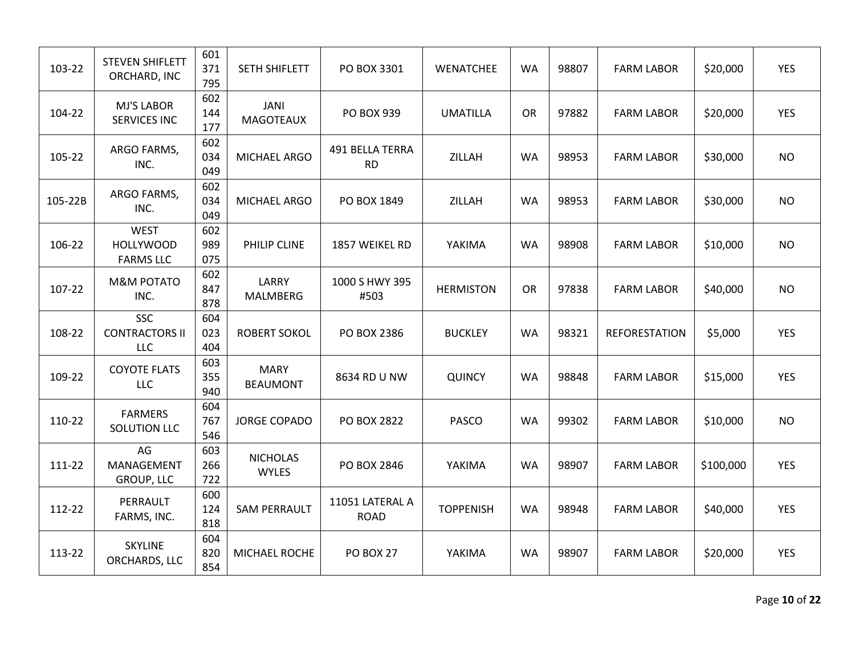| 103-22  | <b>STEVEN SHIFLETT</b><br>ORCHARD, INC              | 601<br>371<br>795 | SETH SHIFLETT                   | PO BOX 3301                    | WENATCHEE        | <b>WA</b> | 98807 | <b>FARM LABOR</b>    | \$20,000  | <b>YES</b> |
|---------|-----------------------------------------------------|-------------------|---------------------------------|--------------------------------|------------------|-----------|-------|----------------------|-----------|------------|
| 104-22  | <b>MJ'S LABOR</b><br><b>SERVICES INC</b>            | 602<br>144<br>177 | JANI<br><b>MAGOTEAUX</b>        | PO BOX 939                     | <b>UMATILLA</b>  | <b>OR</b> | 97882 | <b>FARM LABOR</b>    | \$20,000  | <b>YES</b> |
| 105-22  | ARGO FARMS,<br>INC.                                 | 602<br>034<br>049 | MICHAEL ARGO                    | 491 BELLA TERRA<br><b>RD</b>   | ZILLAH           | <b>WA</b> | 98953 | <b>FARM LABOR</b>    | \$30,000  | <b>NO</b>  |
| 105-22B | ARGO FARMS,<br>INC.                                 | 602<br>034<br>049 | MICHAEL ARGO                    | PO BOX 1849                    | ZILLAH           | <b>WA</b> | 98953 | <b>FARM LABOR</b>    | \$30,000  | <b>NO</b>  |
| 106-22  | <b>WEST</b><br><b>HOLLYWOOD</b><br><b>FARMS LLC</b> | 602<br>989<br>075 | PHILIP CLINE                    | 1857 WEIKEL RD                 | YAKIMA           | <b>WA</b> | 98908 | <b>FARM LABOR</b>    | \$10,000  | <b>NO</b>  |
| 107-22  | <b>M&amp;M POTATO</b><br>INC.                       | 602<br>847<br>878 | LARRY<br><b>MALMBERG</b>        | 1000 S HWY 395<br>#503         | <b>HERMISTON</b> | <b>OR</b> | 97838 | <b>FARM LABOR</b>    | \$40,000  | <b>NO</b>  |
| 108-22  | <b>SSC</b><br><b>CONTRACTORS II</b><br>LLC          | 604<br>023<br>404 | <b>ROBERT SOKOL</b>             | PO BOX 2386                    | <b>BUCKLEY</b>   | <b>WA</b> | 98321 | <b>REFORESTATION</b> | \$5,000   | <b>YES</b> |
| 109-22  | <b>COYOTE FLATS</b><br><b>LLC</b>                   | 603<br>355<br>940 | <b>MARY</b><br><b>BEAUMONT</b>  | 8634 RD U NW                   | <b>QUINCY</b>    | <b>WA</b> | 98848 | <b>FARM LABOR</b>    | \$15,000  | <b>YES</b> |
| 110-22  | <b>FARMERS</b><br><b>SOLUTION LLC</b>               | 604<br>767<br>546 | <b>JORGE COPADO</b>             | <b>PO BOX 2822</b>             | <b>PASCO</b>     | <b>WA</b> | 99302 | <b>FARM LABOR</b>    | \$10,000  | <b>NO</b>  |
| 111-22  | AG<br>MANAGEMENT<br>GROUP, LLC                      | 603<br>266<br>722 | <b>NICHOLAS</b><br><b>WYLES</b> | PO BOX 2846                    | YAKIMA           | <b>WA</b> | 98907 | <b>FARM LABOR</b>    | \$100,000 | <b>YES</b> |
| 112-22  | PERRAULT<br>FARMS, INC.                             | 600<br>124<br>818 | <b>SAM PERRAULT</b>             | 11051 LATERAL A<br><b>ROAD</b> | <b>TOPPENISH</b> | <b>WA</b> | 98948 | <b>FARM LABOR</b>    | \$40,000  | <b>YES</b> |
| 113-22  | <b>SKYLINE</b><br>ORCHARDS, LLC                     | 604<br>820<br>854 | <b>MICHAEL ROCHE</b>            | <b>PO BOX 27</b>               | YAKIMA           | <b>WA</b> | 98907 | <b>FARM LABOR</b>    | \$20,000  | <b>YES</b> |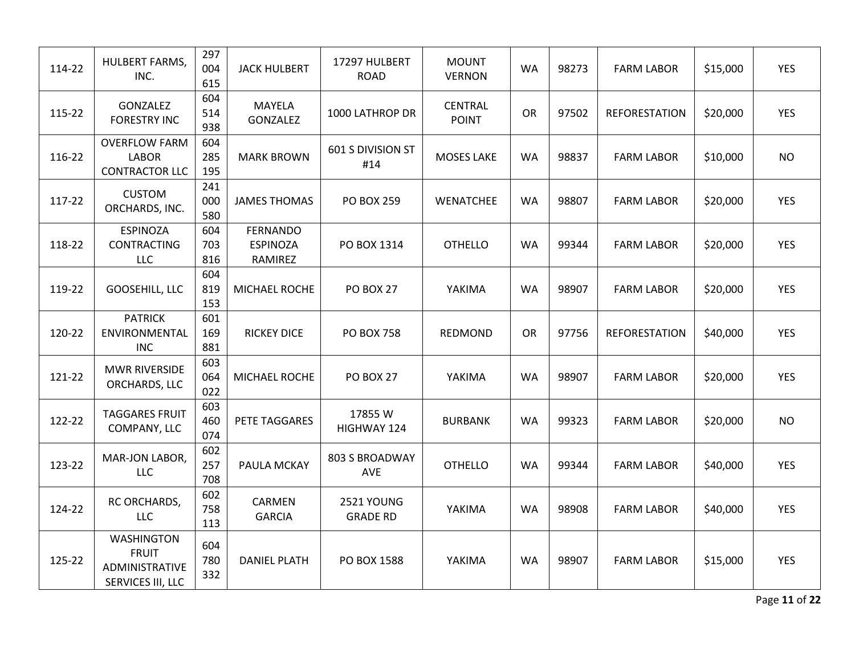| 114-22 | HULBERT FARMS,<br>INC.                                                   | 297<br>004<br>615 | <b>JACK HULBERT</b>                    | 17297 HULBERT<br><b>ROAD</b>  | <b>MOUNT</b><br><b>VERNON</b>  | <b>WA</b> | 98273 | <b>FARM LABOR</b>    | \$15,000 | <b>YES</b> |
|--------|--------------------------------------------------------------------------|-------------------|----------------------------------------|-------------------------------|--------------------------------|-----------|-------|----------------------|----------|------------|
| 115-22 | GONZALEZ<br><b>FORESTRY INC</b>                                          | 604<br>514<br>938 | <b>MAYELA</b><br>GONZALEZ              | 1000 LATHROP DR               | <b>CENTRAL</b><br><b>POINT</b> | <b>OR</b> | 97502 | <b>REFORESTATION</b> | \$20,000 | <b>YES</b> |
| 116-22 | <b>OVERFLOW FARM</b><br><b>LABOR</b><br><b>CONTRACTOR LLC</b>            | 604<br>285<br>195 | <b>MARK BROWN</b>                      | 601 S DIVISION ST<br>#14      | <b>MOSES LAKE</b>              | <b>WA</b> | 98837 | <b>FARM LABOR</b>    | \$10,000 | <b>NO</b>  |
| 117-22 | <b>CUSTOM</b><br>ORCHARDS, INC.                                          | 241<br>000<br>580 | <b>JAMES THOMAS</b>                    | <b>PO BOX 259</b>             | WENATCHEE                      | <b>WA</b> | 98807 | <b>FARM LABOR</b>    | \$20,000 | <b>YES</b> |
| 118-22 | <b>ESPINOZA</b><br><b>CONTRACTING</b><br><b>LLC</b>                      | 604<br>703<br>816 | FERNANDO<br><b>ESPINOZA</b><br>RAMIREZ | PO BOX 1314                   | <b>OTHELLO</b>                 | <b>WA</b> | 99344 | <b>FARM LABOR</b>    | \$20,000 | <b>YES</b> |
| 119-22 | <b>GOOSEHILL, LLC</b>                                                    | 604<br>819<br>153 | MICHAEL ROCHE                          | <b>PO BOX 27</b>              | YAKIMA                         | <b>WA</b> | 98907 | <b>FARM LABOR</b>    | \$20,000 | <b>YES</b> |
| 120-22 | <b>PATRICK</b><br>ENVIRONMENTAL<br><b>INC</b>                            | 601<br>169<br>881 | <b>RICKEY DICE</b>                     | <b>PO BOX 758</b>             | REDMOND                        | <b>OR</b> | 97756 | <b>REFORESTATION</b> | \$40,000 | <b>YES</b> |
| 121-22 | <b>MWR RIVERSIDE</b><br>ORCHARDS, LLC                                    | 603<br>064<br>022 | MICHAEL ROCHE                          | <b>PO BOX 27</b>              | YAKIMA                         | <b>WA</b> | 98907 | <b>FARM LABOR</b>    | \$20,000 | <b>YES</b> |
| 122-22 | <b>TAGGARES FRUIT</b><br>COMPANY, LLC                                    | 603<br>460<br>074 | PETE TAGGARES                          | 17855W<br>HIGHWAY 124         | <b>BURBANK</b>                 | <b>WA</b> | 99323 | <b>FARM LABOR</b>    | \$20,000 | <b>NO</b>  |
| 123-22 | MAR-JON LABOR,<br><b>LLC</b>                                             | 602<br>257<br>708 | PAULA MCKAY                            | 803 S BROADWAY<br><b>AVE</b>  | <b>OTHELLO</b>                 | <b>WA</b> | 99344 | <b>FARM LABOR</b>    | \$40,000 | <b>YES</b> |
| 124-22 | RC ORCHARDS,<br><b>LLC</b>                                               | 602<br>758<br>113 | CARMEN<br><b>GARCIA</b>                | 2521 YOUNG<br><b>GRADE RD</b> | YAKIMA                         | <b>WA</b> | 98908 | <b>FARM LABOR</b>    | \$40,000 | <b>YES</b> |
| 125-22 | <b>WASHINGTON</b><br><b>FRUIT</b><br>ADMINISTRATIVE<br>SERVICES III, LLC | 604<br>780<br>332 | <b>DANIEL PLATH</b>                    | PO BOX 1588                   | YAKIMA                         | <b>WA</b> | 98907 | <b>FARM LABOR</b>    | \$15,000 | <b>YES</b> |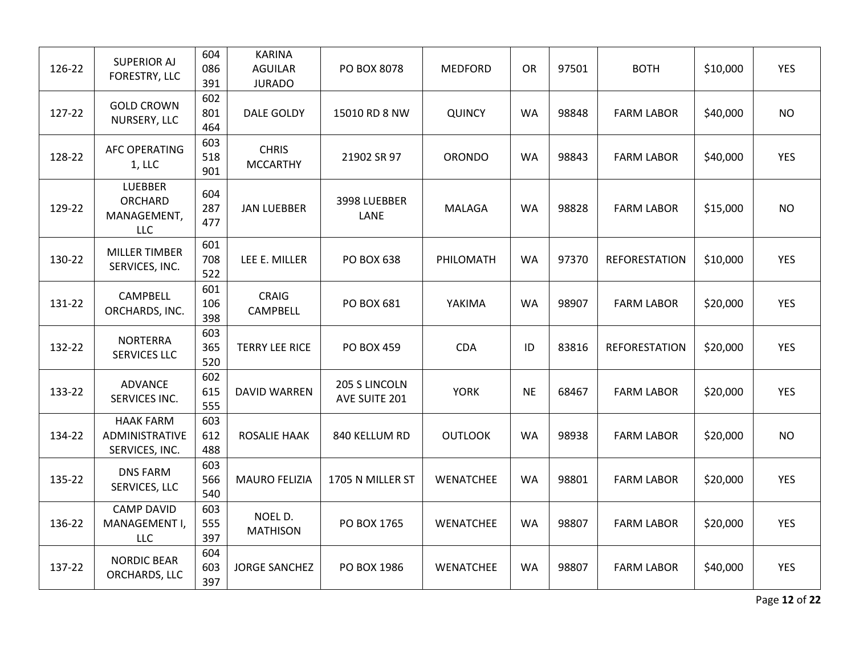| 126-22 | <b>SUPERIOR AJ</b><br>FORESTRY, LLC                  | 604<br>086<br>391 | <b>KARINA</b><br><b>AGUILAR</b><br><b>JURADO</b> | PO BOX 8078                    | <b>MEDFORD</b>   | <b>OR</b> | 97501 | <b>BOTH</b>          | \$10,000 | <b>YES</b> |
|--------|------------------------------------------------------|-------------------|--------------------------------------------------|--------------------------------|------------------|-----------|-------|----------------------|----------|------------|
| 127-22 | <b>GOLD CROWN</b><br>NURSERY, LLC                    | 602<br>801<br>464 | DALE GOLDY                                       | 15010 RD 8 NW                  | <b>QUINCY</b>    | <b>WA</b> | 98848 | <b>FARM LABOR</b>    | \$40,000 | <b>NO</b>  |
| 128-22 | <b>AFC OPERATING</b><br>$1,$ LLC                     | 603<br>518<br>901 | <b>CHRIS</b><br><b>MCCARTHY</b>                  | 21902 SR 97                    | <b>ORONDO</b>    | <b>WA</b> | 98843 | <b>FARM LABOR</b>    | \$40,000 | <b>YES</b> |
| 129-22 | <b>LUEBBER</b><br>ORCHARD<br>MANAGEMENT,<br>LLC      | 604<br>287<br>477 | <b>JAN LUEBBER</b>                               | 3998 LUEBBER<br>LANE           | <b>MALAGA</b>    | <b>WA</b> | 98828 | <b>FARM LABOR</b>    | \$15,000 | <b>NO</b>  |
| 130-22 | <b>MILLER TIMBER</b><br>SERVICES, INC.               | 601<br>708<br>522 | LEE E. MILLER                                    | PO BOX 638                     | PHILOMATH        | <b>WA</b> | 97370 | <b>REFORESTATION</b> | \$10,000 | <b>YES</b> |
| 131-22 | <b>CAMPBELL</b><br>ORCHARDS, INC.                    | 601<br>106<br>398 | <b>CRAIG</b><br>CAMPBELL                         | PO BOX 681                     | YAKIMA           | <b>WA</b> | 98907 | <b>FARM LABOR</b>    | \$20,000 | <b>YES</b> |
| 132-22 | <b>NORTERRA</b><br>SERVICES LLC                      | 603<br>365<br>520 | <b>TERRY LEE RICE</b>                            | <b>PO BOX 459</b>              | <b>CDA</b>       | ID        | 83816 | <b>REFORESTATION</b> | \$20,000 | <b>YES</b> |
| 133-22 | <b>ADVANCE</b><br>SERVICES INC.                      | 602<br>615<br>555 | <b>DAVID WARREN</b>                              | 205 S LINCOLN<br>AVE SUITE 201 | <b>YORK</b>      | <b>NE</b> | 68467 | <b>FARM LABOR</b>    | \$20,000 | <b>YES</b> |
| 134-22 | <b>HAAK FARM</b><br>ADMINISTRATIVE<br>SERVICES, INC. | 603<br>612<br>488 | ROSALIE HAAK                                     | 840 KELLUM RD                  | <b>OUTLOOK</b>   | <b>WA</b> | 98938 | <b>FARM LABOR</b>    | \$20,000 | <b>NO</b>  |
| 135-22 | <b>DNS FARM</b><br>SERVICES, LLC                     | 603<br>566<br>540 | <b>MAURO FELIZIA</b>                             | 1705 N MILLER ST               | <b>WENATCHEE</b> | <b>WA</b> | 98801 | <b>FARM LABOR</b>    | \$20,000 | <b>YES</b> |
| 136-22 | <b>CAMP DAVID</b><br>MANAGEMENT I,<br><b>LLC</b>     | 603<br>555<br>397 | NOEL D.<br><b>MATHISON</b>                       | PO BOX 1765                    | WENATCHEE        | <b>WA</b> | 98807 | <b>FARM LABOR</b>    | \$20,000 | <b>YES</b> |
| 137-22 | <b>NORDIC BEAR</b><br>ORCHARDS, LLC                  | 604<br>603<br>397 | <b>JORGE SANCHEZ</b>                             | PO BOX 1986                    | WENATCHEE        | <b>WA</b> | 98807 | <b>FARM LABOR</b>    | \$40,000 | <b>YES</b> |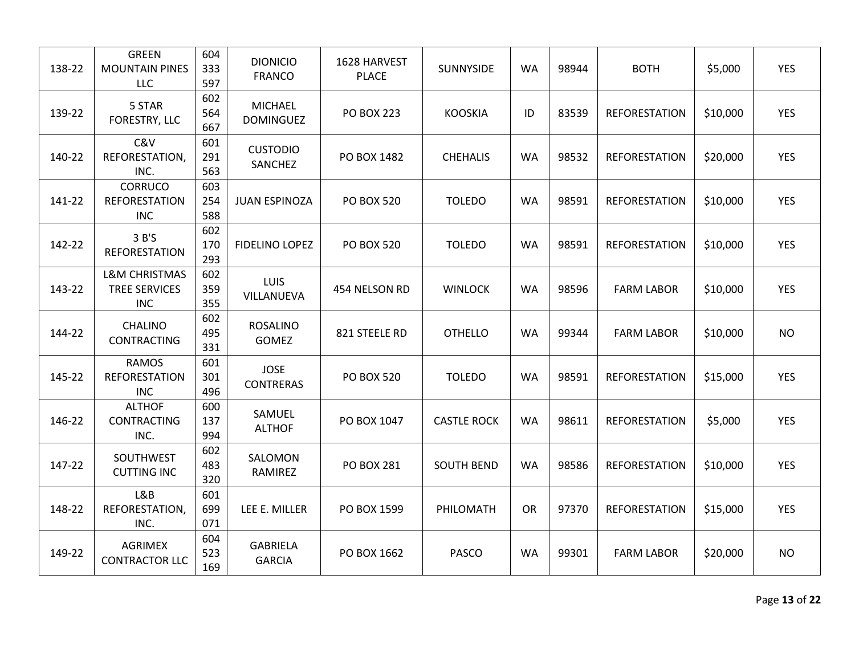| 138-22 | <b>GREEN</b><br><b>MOUNTAIN PINES</b><br><b>LLC</b>            | 604<br>333<br>597 | <b>DIONICIO</b><br><b>FRANCO</b>   | 1628 HARVEST<br><b>PLACE</b> | SUNNYSIDE          | <b>WA</b> | 98944 | <b>BOTH</b>          | \$5,000  | <b>YES</b> |
|--------|----------------------------------------------------------------|-------------------|------------------------------------|------------------------------|--------------------|-----------|-------|----------------------|----------|------------|
| 139-22 | 5 STAR<br>FORESTRY, LLC                                        | 602<br>564<br>667 | <b>MICHAEL</b><br><b>DOMINGUEZ</b> | <b>PO BOX 223</b>            | <b>KOOSKIA</b>     | ID        | 83539 | <b>REFORESTATION</b> | \$10,000 | <b>YES</b> |
| 140-22 | C&V<br>REFORESTATION,<br>INC.                                  | 601<br>291<br>563 | <b>CUSTODIO</b><br>SANCHEZ         | PO BOX 1482                  | <b>CHEHALIS</b>    | <b>WA</b> | 98532 | <b>REFORESTATION</b> | \$20,000 | <b>YES</b> |
| 141-22 | CORRUCO<br><b>REFORESTATION</b><br><b>INC</b>                  | 603<br>254<br>588 | <b>JUAN ESPINOZA</b>               | <b>PO BOX 520</b>            | <b>TOLEDO</b>      | <b>WA</b> | 98591 | <b>REFORESTATION</b> | \$10,000 | <b>YES</b> |
| 142-22 | 3B'S<br><b>REFORESTATION</b>                                   | 602<br>170<br>293 | <b>FIDELINO LOPEZ</b>              | <b>PO BOX 520</b>            | <b>TOLEDO</b>      | <b>WA</b> | 98591 | <b>REFORESTATION</b> | \$10,000 | <b>YES</b> |
| 143-22 | <b>L&amp;M CHRISTMAS</b><br><b>TREE SERVICES</b><br><b>INC</b> | 602<br>359<br>355 | LUIS<br>VILLANUEVA                 | 454 NELSON RD                | <b>WINLOCK</b>     | <b>WA</b> | 98596 | <b>FARM LABOR</b>    | \$10,000 | <b>YES</b> |
| 144-22 | <b>CHALINO</b><br><b>CONTRACTING</b>                           | 602<br>495<br>331 | <b>ROSALINO</b><br>GOMEZ           | 821 STEELE RD                | <b>OTHELLO</b>     | <b>WA</b> | 99344 | <b>FARM LABOR</b>    | \$10,000 | <b>NO</b>  |
| 145-22 | <b>RAMOS</b><br><b>REFORESTATION</b><br><b>INC</b>             | 601<br>301<br>496 | <b>JOSE</b><br><b>CONTRERAS</b>    | <b>PO BOX 520</b>            | <b>TOLEDO</b>      | <b>WA</b> | 98591 | <b>REFORESTATION</b> | \$15,000 | <b>YES</b> |
| 146-22 | <b>ALTHOF</b><br><b>CONTRACTING</b><br>INC.                    | 600<br>137<br>994 | SAMUEL<br><b>ALTHOF</b>            | PO BOX 1047                  | <b>CASTLE ROCK</b> | <b>WA</b> | 98611 | <b>REFORESTATION</b> | \$5,000  | <b>YES</b> |
| 147-22 | SOUTHWEST<br><b>CUTTING INC</b>                                | 602<br>483<br>320 | SALOMON<br>RAMIREZ                 | <b>PO BOX 281</b>            | <b>SOUTH BEND</b>  | <b>WA</b> | 98586 | <b>REFORESTATION</b> | \$10,000 | <b>YES</b> |
| 148-22 | L&B<br>REFORESTATION,<br>INC.                                  | 601<br>699<br>071 | LEE E. MILLER                      | PO BOX 1599                  | PHILOMATH          | <b>OR</b> | 97370 | <b>REFORESTATION</b> | \$15,000 | <b>YES</b> |
| 149-22 | AGRIMEX<br><b>CONTRACTOR LLC</b>                               | 604<br>523<br>169 | <b>GABRIELA</b><br><b>GARCIA</b>   | PO BOX 1662                  | <b>PASCO</b>       | <b>WA</b> | 99301 | <b>FARM LABOR</b>    | \$20,000 | <b>NO</b>  |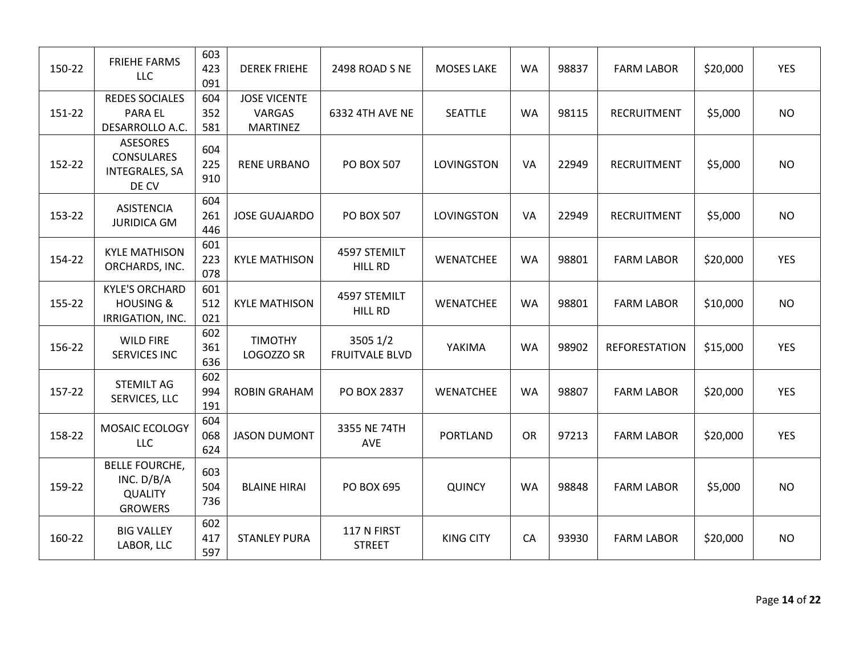| 150-22 | <b>FRIEHE FARMS</b><br>LLC                                              | 603<br>423<br>091 | <b>DEREK FRIEHE</b>                                     | 2498 ROAD S NE                    | <b>MOSES LAKE</b> | <b>WA</b> | 98837 | <b>FARM LABOR</b>    | \$20,000 | <b>YES</b> |
|--------|-------------------------------------------------------------------------|-------------------|---------------------------------------------------------|-----------------------------------|-------------------|-----------|-------|----------------------|----------|------------|
| 151-22 | <b>REDES SOCIALES</b><br>PARA EL<br>DESARROLLO A.C.                     | 604<br>352<br>581 | <b>JOSE VICENTE</b><br><b>VARGAS</b><br><b>MARTINEZ</b> | 6332 4TH AVE NE                   | <b>SEATTLE</b>    | <b>WA</b> | 98115 | <b>RECRUITMENT</b>   | \$5,000  | <b>NO</b>  |
| 152-22 | ASESORES<br>CONSULARES<br><b>INTEGRALES, SA</b><br>DE CV                | 604<br>225<br>910 | <b>RENE URBANO</b>                                      | <b>PO BOX 507</b>                 | LOVINGSTON        | VA        | 22949 | <b>RECRUITMENT</b>   | \$5,000  | <b>NO</b>  |
| 153-22 | <b>ASISTENCIA</b><br><b>JURIDICA GM</b>                                 | 604<br>261<br>446 | <b>JOSE GUAJARDO</b>                                    | <b>PO BOX 507</b>                 | LOVINGSTON        | VA        | 22949 | <b>RECRUITMENT</b>   | \$5,000  | <b>NO</b>  |
| 154-22 | <b>KYLE MATHISON</b><br>ORCHARDS, INC.                                  | 601<br>223<br>078 | <b>KYLE MATHISON</b>                                    | 4597 STEMILT<br><b>HILL RD</b>    | WENATCHEE         | <b>WA</b> | 98801 | <b>FARM LABOR</b>    | \$20,000 | <b>YES</b> |
| 155-22 | <b>KYLE'S ORCHARD</b><br><b>HOUSING &amp;</b><br>IRRIGATION, INC.       | 601<br>512<br>021 | <b>KYLE MATHISON</b>                                    | 4597 STEMILT<br><b>HILL RD</b>    | WENATCHEE         | <b>WA</b> | 98801 | <b>FARM LABOR</b>    | \$10,000 | <b>NO</b>  |
| 156-22 | <b>WILD FIRE</b><br><b>SERVICES INC</b>                                 | 602<br>361<br>636 | <b>TIMOTHY</b><br>LOGOZZO SR                            | 3505 1/2<br><b>FRUITVALE BLVD</b> | YAKIMA            | <b>WA</b> | 98902 | <b>REFORESTATION</b> | \$15,000 | <b>YES</b> |
| 157-22 | <b>STEMILT AG</b><br>SERVICES, LLC                                      | 602<br>994<br>191 | <b>ROBIN GRAHAM</b>                                     | PO BOX 2837                       | WENATCHEE         | <b>WA</b> | 98807 | <b>FARM LABOR</b>    | \$20,000 | <b>YES</b> |
| 158-22 | MOSAIC ECOLOGY<br><b>LLC</b>                                            | 604<br>068<br>624 | <b>JASON DUMONT</b>                                     | 3355 NE 74TH<br>AVE               | <b>PORTLAND</b>   | <b>OR</b> | 97213 | <b>FARM LABOR</b>    | \$20,000 | <b>YES</b> |
| 159-22 | <b>BELLE FOURCHE,</b><br>INC. D/B/A<br><b>QUALITY</b><br><b>GROWERS</b> | 603<br>504<br>736 | <b>BLAINE HIRAI</b>                                     | <b>PO BOX 695</b>                 | <b>QUINCY</b>     | <b>WA</b> | 98848 | <b>FARM LABOR</b>    | \$5,000  | <b>NO</b>  |
| 160-22 | <b>BIG VALLEY</b><br>LABOR, LLC                                         | 602<br>417<br>597 | <b>STANLEY PURA</b>                                     | 117 N FIRST<br><b>STREET</b>      | <b>KING CITY</b>  | CA        | 93930 | <b>FARM LABOR</b>    | \$20,000 | <b>NO</b>  |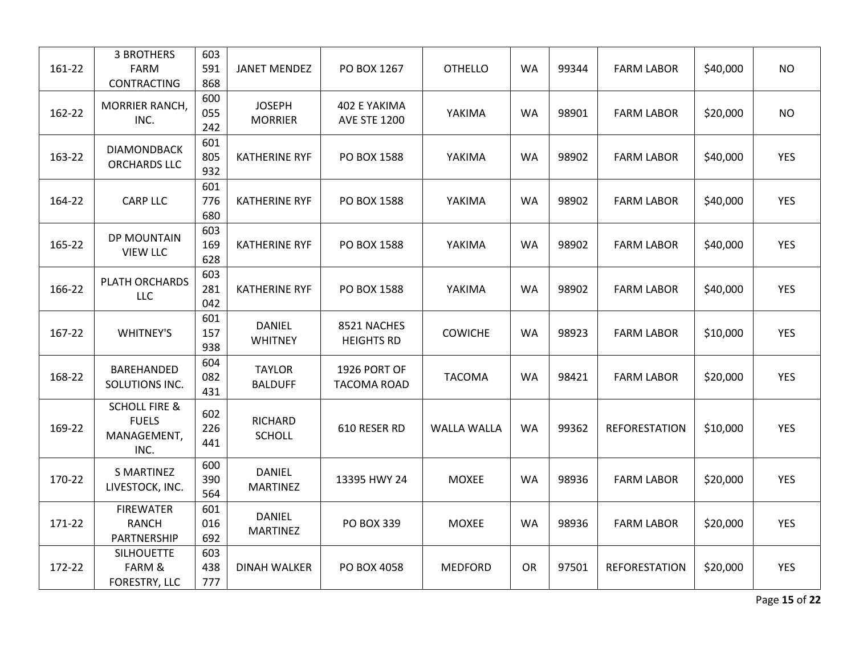| 161-22 | <b>3 BROTHERS</b><br><b>FARM</b><br><b>CONTRACTING</b>          | 603<br>591<br>868 | <b>JANET MENDEZ</b>              | PO BOX 1267                         | <b>OTHELLO</b>     | <b>WA</b> | 99344 | <b>FARM LABOR</b>    | \$40,000 | <b>NO</b>  |
|--------|-----------------------------------------------------------------|-------------------|----------------------------------|-------------------------------------|--------------------|-----------|-------|----------------------|----------|------------|
| 162-22 | MORRIER RANCH,<br>INC.                                          | 600<br>055<br>242 | <b>JOSEPH</b><br><b>MORRIER</b>  | 402 E YAKIMA<br><b>AVE STE 1200</b> | YAKIMA             | <b>WA</b> | 98901 | <b>FARM LABOR</b>    | \$20,000 | <b>NO</b>  |
| 163-22 | <b>DIAMONDBACK</b><br><b>ORCHARDS LLC</b>                       | 601<br>805<br>932 | <b>KATHERINE RYF</b>             | PO BOX 1588                         | YAKIMA             | <b>WA</b> | 98902 | <b>FARM LABOR</b>    | \$40,000 | <b>YES</b> |
| 164-22 | <b>CARP LLC</b>                                                 | 601<br>776<br>680 | <b>KATHERINE RYF</b>             | PO BOX 1588                         | YAKIMA             | <b>WA</b> | 98902 | <b>FARM LABOR</b>    | \$40,000 | <b>YES</b> |
| 165-22 | DP MOUNTAIN<br><b>VIEW LLC</b>                                  | 603<br>169<br>628 | <b>KATHERINE RYF</b>             | PO BOX 1588                         | YAKIMA             | <b>WA</b> | 98902 | <b>FARM LABOR</b>    | \$40,000 | <b>YES</b> |
| 166-22 | PLATH ORCHARDS<br><b>LLC</b>                                    | 603<br>281<br>042 | <b>KATHERINE RYF</b>             | PO BOX 1588                         | YAKIMA             | <b>WA</b> | 98902 | <b>FARM LABOR</b>    | \$40,000 | <b>YES</b> |
| 167-22 | <b>WHITNEY'S</b>                                                | 601<br>157<br>938 | <b>DANIEL</b><br><b>WHITNEY</b>  | 8521 NACHES<br><b>HEIGHTS RD</b>    | <b>COWICHE</b>     | <b>WA</b> | 98923 | <b>FARM LABOR</b>    | \$10,000 | <b>YES</b> |
| 168-22 | BAREHANDED<br>SOLUTIONS INC.                                    | 604<br>082<br>431 | <b>TAYLOR</b><br><b>BALDUFF</b>  | 1926 PORT OF<br><b>TACOMA ROAD</b>  | <b>TACOMA</b>      | <b>WA</b> | 98421 | <b>FARM LABOR</b>    | \$20,000 | <b>YES</b> |
| 169-22 | <b>SCHOLL FIRE &amp;</b><br><b>FUELS</b><br>MANAGEMENT,<br>INC. | 602<br>226<br>441 | <b>RICHARD</b><br><b>SCHOLL</b>  | 610 RESER RD                        | <b>WALLA WALLA</b> | <b>WA</b> | 99362 | <b>REFORESTATION</b> | \$10,000 | <b>YES</b> |
| 170-22 | <b>S MARTINEZ</b><br>LIVESTOCK, INC.                            | 600<br>390<br>564 | <b>DANIEL</b><br><b>MARTINEZ</b> | 13395 HWY 24                        | <b>MOXEE</b>       | <b>WA</b> | 98936 | <b>FARM LABOR</b>    | \$20,000 | <b>YES</b> |
| 171-22 | <b>FIREWATER</b><br><b>RANCH</b><br>PARTNERSHIP                 | 601<br>016<br>692 | <b>DANIEL</b><br><b>MARTINEZ</b> | <b>PO BOX 339</b>                   | <b>MOXEE</b>       | <b>WA</b> | 98936 | <b>FARM LABOR</b>    | \$20,000 | <b>YES</b> |
| 172-22 | <b>SILHOUETTE</b><br>FARM &<br>FORESTRY, LLC                    | 603<br>438<br>777 | <b>DINAH WALKER</b>              | PO BOX 4058                         | <b>MEDFORD</b>     | <b>OR</b> | 97501 | <b>REFORESTATION</b> | \$20,000 | <b>YES</b> |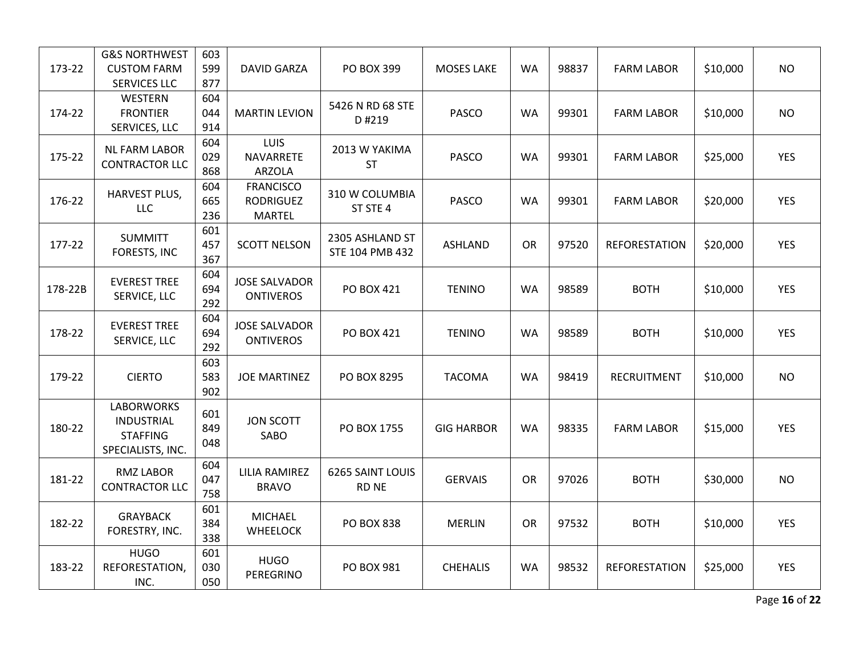| 173-22  | <b>G&amp;S NORTHWEST</b><br><b>CUSTOM FARM</b><br>SERVICES LLC                 | 603<br>599<br>877 | <b>DAVID GARZA</b>                                    | PO BOX 399                         | <b>MOSES LAKE</b> | <b>WA</b> | 98837 | <b>FARM LABOR</b>    | \$10,000 | <b>NO</b>  |
|---------|--------------------------------------------------------------------------------|-------------------|-------------------------------------------------------|------------------------------------|-------------------|-----------|-------|----------------------|----------|------------|
| 174-22  | <b>WESTERN</b><br><b>FRONTIER</b><br>SERVICES, LLC                             | 604<br>044<br>914 | <b>MARTIN LEVION</b>                                  | 5426 N RD 68 STE<br>D #219         | <b>PASCO</b>      | <b>WA</b> | 99301 | <b>FARM LABOR</b>    | \$10,000 | <b>NO</b>  |
| 175-22  | <b>NL FARM LABOR</b><br><b>CONTRACTOR LLC</b>                                  | 604<br>029<br>868 | LUIS<br>NAVARRETE<br><b>ARZOLA</b>                    | 2013 W YAKIMA<br><b>ST</b>         | <b>PASCO</b>      | <b>WA</b> | 99301 | <b>FARM LABOR</b>    | \$25,000 | <b>YES</b> |
| 176-22  | HARVEST PLUS,<br><b>LLC</b>                                                    | 604<br>665<br>236 | <b>FRANCISCO</b><br><b>RODRIGUEZ</b><br><b>MARTEL</b> | 310 W COLUMBIA<br>ST STE 4         | <b>PASCO</b>      | <b>WA</b> | 99301 | <b>FARM LABOR</b>    | \$20,000 | <b>YES</b> |
| 177-22  | <b>SUMMITT</b><br>FORESTS, INC                                                 | 601<br>457<br>367 | <b>SCOTT NELSON</b>                                   | 2305 ASHLAND ST<br>STE 104 PMB 432 | ASHLAND           | <b>OR</b> | 97520 | <b>REFORESTATION</b> | \$20,000 | <b>YES</b> |
| 178-22B | <b>EVEREST TREE</b><br>SERVICE, LLC                                            | 604<br>694<br>292 | <b>JOSE SALVADOR</b><br><b>ONTIVEROS</b>              | PO BOX 421                         | <b>TENINO</b>     | <b>WA</b> | 98589 | <b>BOTH</b>          | \$10,000 | <b>YES</b> |
| 178-22  | <b>EVEREST TREE</b><br>SERVICE, LLC                                            | 604<br>694<br>292 | <b>JOSE SALVADOR</b><br><b>ONTIVEROS</b>              | PO BOX 421                         | <b>TENINO</b>     | <b>WA</b> | 98589 | <b>BOTH</b>          | \$10,000 | <b>YES</b> |
| 179-22  | <b>CIERTO</b>                                                                  | 603<br>583<br>902 | <b>JOE MARTINEZ</b>                                   | PO BOX 8295                        | <b>TACOMA</b>     | <b>WA</b> | 98419 | RECRUITMENT          | \$10,000 | <b>NO</b>  |
| 180-22  | <b>LABORWORKS</b><br><b>INDUSTRIAL</b><br><b>STAFFING</b><br>SPECIALISTS, INC. | 601<br>849<br>048 | <b>JON SCOTT</b><br>SABO                              | PO BOX 1755                        | <b>GIG HARBOR</b> | <b>WA</b> | 98335 | <b>FARM LABOR</b>    | \$15,000 | <b>YES</b> |
| 181-22  | <b>RMZ LABOR</b><br><b>CONTRACTOR LLC</b>                                      | 604<br>047<br>758 | <b>LILIA RAMIREZ</b><br><b>BRAVO</b>                  | 6265 SAINT LOUIS<br>RD NE          | <b>GERVAIS</b>    | <b>OR</b> | 97026 | <b>BOTH</b>          | \$30,000 | <b>NO</b>  |
| 182-22  | <b>GRAYBACK</b><br>FORESTRY, INC.                                              | 601<br>384<br>338 | <b>MICHAEL</b><br><b>WHEELOCK</b>                     | <b>PO BOX 838</b>                  | <b>MERLIN</b>     | <b>OR</b> | 97532 | <b>BOTH</b>          | \$10,000 | YES        |
| 183-22  | <b>HUGO</b><br>REFORESTATION,<br>INC.                                          | 601<br>030<br>050 | <b>HUGO</b><br>PEREGRINO                              | PO BOX 981                         | <b>CHEHALIS</b>   | <b>WA</b> | 98532 | <b>REFORESTATION</b> | \$25,000 | <b>YES</b> |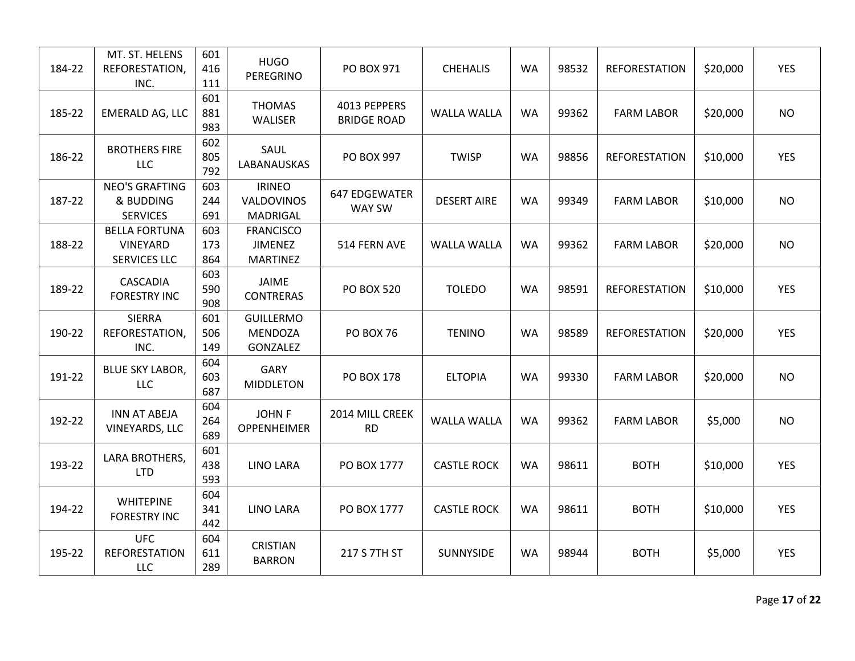| 184-22 | MT. ST. HELENS<br>REFORESTATION,<br>INC.              | 601<br>416<br>111 | <b>HUGO</b><br>PEREGRINO                              | PO BOX 971                         | <b>CHEHALIS</b>    | <b>WA</b> | 98532 | <b>REFORESTATION</b> | \$20,000 | <b>YES</b> |
|--------|-------------------------------------------------------|-------------------|-------------------------------------------------------|------------------------------------|--------------------|-----------|-------|----------------------|----------|------------|
| 185-22 | <b>EMERALD AG, LLC</b>                                | 601<br>881<br>983 | <b>THOMAS</b><br>WALISER                              | 4013 PEPPERS<br><b>BRIDGE ROAD</b> | WALLA WALLA        | <b>WA</b> | 99362 | <b>FARM LABOR</b>    | \$20,000 | <b>NO</b>  |
| 186-22 | <b>BROTHERS FIRE</b><br><b>LLC</b>                    | 602<br>805<br>792 | SAUL<br>LABANAUSKAS                                   | <b>PO BOX 997</b>                  | <b>TWISP</b>       | <b>WA</b> | 98856 | <b>REFORESTATION</b> | \$10,000 | <b>YES</b> |
| 187-22 | <b>NEO'S GRAFTING</b><br>& BUDDING<br><b>SERVICES</b> | 603<br>244<br>691 | <b>IRINEO</b><br>VALDOVINOS<br><b>MADRIGAL</b>        | <b>647 EDGEWATER</b><br>WAY SW     | <b>DESERT AIRE</b> | <b>WA</b> | 99349 | <b>FARM LABOR</b>    | \$10,000 | <b>NO</b>  |
| 188-22 | <b>BELLA FORTUNA</b><br>VINEYARD<br>SERVICES LLC      | 603<br>173<br>864 | <b>FRANCISCO</b><br><b>JIMENEZ</b><br><b>MARTINEZ</b> | 514 FERN AVE                       | <b>WALLA WALLA</b> | <b>WA</b> | 99362 | <b>FARM LABOR</b>    | \$20,000 | <b>NO</b>  |
| 189-22 | <b>CASCADIA</b><br><b>FORESTRY INC</b>                | 603<br>590<br>908 | JAIME<br><b>CONTRERAS</b>                             | <b>PO BOX 520</b>                  | <b>TOLEDO</b>      | <b>WA</b> | 98591 | <b>REFORESTATION</b> | \$10,000 | <b>YES</b> |
| 190-22 | <b>SIERRA</b><br>REFORESTATION,<br>INC.               | 601<br>506<br>149 | <b>GUILLERMO</b><br><b>MENDOZA</b><br>GONZALEZ        | <b>PO BOX 76</b>                   | <b>TENINO</b>      | <b>WA</b> | 98589 | <b>REFORESTATION</b> | \$20,000 | <b>YES</b> |
| 191-22 | <b>BLUE SKY LABOR,</b><br><b>LLC</b>                  | 604<br>603<br>687 | <b>GARY</b><br><b>MIDDLETON</b>                       | <b>PO BOX 178</b>                  | <b>ELTOPIA</b>     | <b>WA</b> | 99330 | <b>FARM LABOR</b>    | \$20,000 | <b>NO</b>  |
| 192-22 | <b>INN AT ABEJA</b><br>VINEYARDS, LLC                 | 604<br>264<br>689 | <b>JOHN F</b><br>OPPENHEIMER                          | 2014 MILL CREEK<br><b>RD</b>       | <b>WALLA WALLA</b> | <b>WA</b> | 99362 | <b>FARM LABOR</b>    | \$5,000  | <b>NO</b>  |
| 193-22 | LARA BROTHERS,<br>LTD.                                | 601<br>438<br>593 | <b>LINO LARA</b>                                      | PO BOX 1777                        | <b>CASTLE ROCK</b> | <b>WA</b> | 98611 | <b>BOTH</b>          | \$10,000 | <b>YES</b> |
| 194-22 | <b>WHITEPINE</b><br><b>FORESTRY INC</b>               | 604<br>341<br>442 | <b>LINO LARA</b>                                      | PO BOX 1777                        | <b>CASTLE ROCK</b> | <b>WA</b> | 98611 | <b>BOTH</b>          | \$10,000 | <b>YES</b> |
| 195-22 | <b>UFC</b><br><b>REFORESTATION</b><br>LLC             | 604<br>611<br>289 | CRISTIAN<br><b>BARRON</b>                             | 217 S 7TH ST                       | SUNNYSIDE          | <b>WA</b> | 98944 | <b>BOTH</b>          | \$5,000  | <b>YES</b> |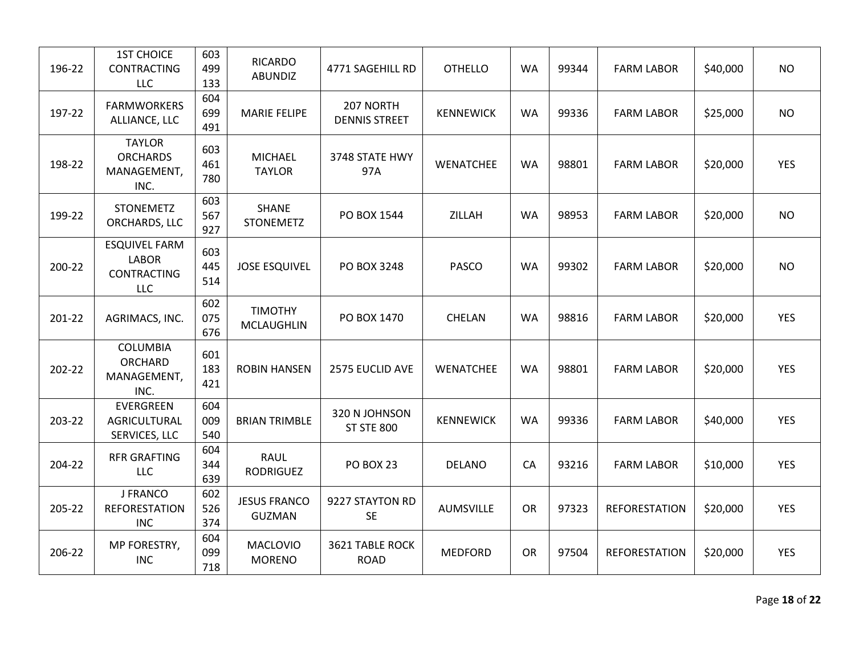| 196-22 | <b>1ST CHOICE</b><br><b>CONTRACTING</b><br><b>LLC</b>                    | 603<br>499<br>133 | <b>RICARDO</b><br><b>ABUNDIZ</b>     | 4771 SAGEHILL RD                   | <b>OTHELLO</b>   | <b>WA</b> | 99344 | <b>FARM LABOR</b>    | \$40,000 | <b>NO</b>  |
|--------|--------------------------------------------------------------------------|-------------------|--------------------------------------|------------------------------------|------------------|-----------|-------|----------------------|----------|------------|
| 197-22 | <b>FARMWORKERS</b><br>ALLIANCE, LLC                                      | 604<br>699<br>491 | <b>MARIE FELIPE</b>                  | 207 NORTH<br><b>DENNIS STREET</b>  | <b>KENNEWICK</b> | <b>WA</b> | 99336 | <b>FARM LABOR</b>    | \$25,000 | <b>NO</b>  |
| 198-22 | <b>TAYLOR</b><br><b>ORCHARDS</b><br>MANAGEMENT,<br>INC.                  | 603<br>461<br>780 | <b>MICHAEL</b><br><b>TAYLOR</b>      | 3748 STATE HWY<br>97A              | <b>WENATCHEE</b> | <b>WA</b> | 98801 | <b>FARM LABOR</b>    | \$20,000 | <b>YES</b> |
| 199-22 | <b>STONEMETZ</b><br>ORCHARDS, LLC                                        | 603<br>567<br>927 | <b>SHANE</b><br><b>STONEMETZ</b>     | PO BOX 1544                        | ZILLAH           | <b>WA</b> | 98953 | <b>FARM LABOR</b>    | \$20,000 | <b>NO</b>  |
| 200-22 | <b>ESQUIVEL FARM</b><br><b>LABOR</b><br><b>CONTRACTING</b><br><b>LLC</b> | 603<br>445<br>514 | <b>JOSE ESQUIVEL</b>                 | PO BOX 3248                        | <b>PASCO</b>     | <b>WA</b> | 99302 | <b>FARM LABOR</b>    | \$20,000 | <b>NO</b>  |
| 201-22 | AGRIMACS, INC.                                                           | 602<br>075<br>676 | <b>TIMOTHY</b><br><b>MCLAUGHLIN</b>  | PO BOX 1470                        | CHELAN           | <b>WA</b> | 98816 | <b>FARM LABOR</b>    | \$20,000 | <b>YES</b> |
| 202-22 | <b>COLUMBIA</b><br>ORCHARD<br>MANAGEMENT,<br>INC.                        | 601<br>183<br>421 | <b>ROBIN HANSEN</b>                  | 2575 EUCLID AVE                    | <b>WENATCHEE</b> | <b>WA</b> | 98801 | <b>FARM LABOR</b>    | \$20,000 | <b>YES</b> |
| 203-22 | <b>EVERGREEN</b><br>AGRICULTURAL<br>SERVICES, LLC                        | 604<br>009<br>540 | <b>BRIAN TRIMBLE</b>                 | 320 N JOHNSON<br><b>ST STE 800</b> | <b>KENNEWICK</b> | <b>WA</b> | 99336 | <b>FARM LABOR</b>    | \$40,000 | <b>YES</b> |
| 204-22 | <b>RFR GRAFTING</b><br><b>LLC</b>                                        | 604<br>344<br>639 | <b>RAUL</b><br><b>RODRIGUEZ</b>      | <b>PO BOX 23</b>                   | <b>DELANO</b>    | CA        | 93216 | <b>FARM LABOR</b>    | \$10,000 | <b>YES</b> |
| 205-22 | J FRANCO<br><b>REFORESTATION</b><br><b>INC</b>                           | 602<br>526<br>374 | <b>JESUS FRANCO</b><br><b>GUZMAN</b> | 9227 STAYTON RD<br><b>SE</b>       | <b>AUMSVILLE</b> | <b>OR</b> | 97323 | <b>REFORESTATION</b> | \$20,000 | <b>YES</b> |
| 206-22 | MP FORESTRY,<br><b>INC</b>                                               | 604<br>099<br>718 | <b>MACLOVIO</b><br><b>MORENO</b>     | 3621 TABLE ROCK<br><b>ROAD</b>     | <b>MEDFORD</b>   | <b>OR</b> | 97504 | <b>REFORESTATION</b> | \$20,000 | <b>YES</b> |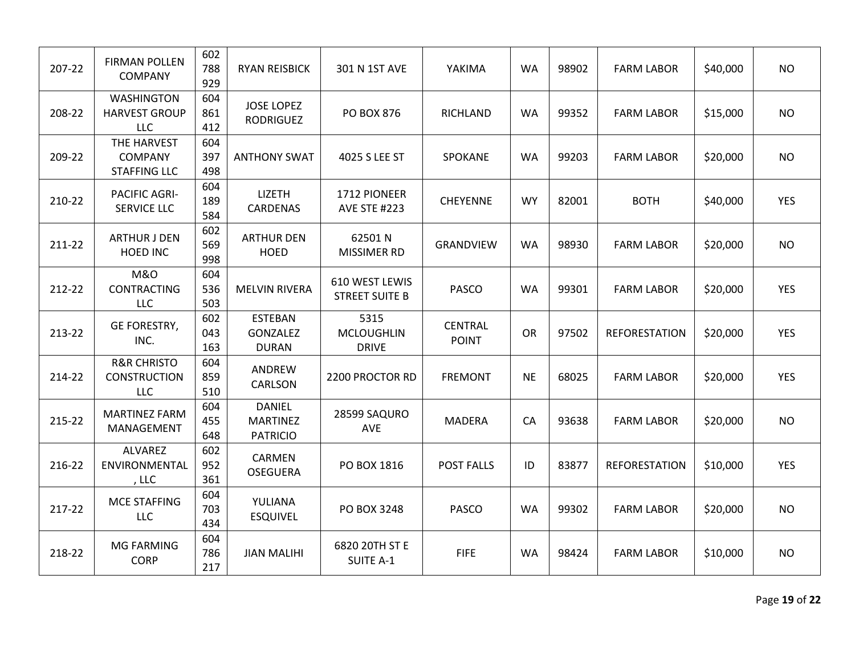| 207-22 | <b>FIRMAN POLLEN</b><br>COMPANY                             | 602<br>788<br>929 | <b>RYAN REISBICK</b>                                | 301 N 1ST AVE                           | YAKIMA                         | <b>WA</b> | 98902 | <b>FARM LABOR</b>    | \$40,000 | <b>NO</b>  |
|--------|-------------------------------------------------------------|-------------------|-----------------------------------------------------|-----------------------------------------|--------------------------------|-----------|-------|----------------------|----------|------------|
| 208-22 | <b>WASHINGTON</b><br><b>HARVEST GROUP</b><br><b>LLC</b>     | 604<br>861<br>412 | <b>JOSE LOPEZ</b><br><b>RODRIGUEZ</b>               | PO BOX 876                              | RICHLAND                       | <b>WA</b> | 99352 | <b>FARM LABOR</b>    | \$15,000 | <b>NO</b>  |
| 209-22 | THE HARVEST<br>COMPANY<br><b>STAFFING LLC</b>               | 604<br>397<br>498 | <b>ANTHONY SWAT</b>                                 | 4025 S LEE ST                           | SPOKANE                        | <b>WA</b> | 99203 | <b>FARM LABOR</b>    | \$20,000 | <b>NO</b>  |
| 210-22 | PACIFIC AGRI-<br>SERVICE LLC                                | 604<br>189<br>584 | <b>LIZETH</b><br>CARDENAS                           | 1712 PIONEER<br><b>AVE STE #223</b>     | <b>CHEYENNE</b>                | <b>WY</b> | 82001 | <b>BOTH</b>          | \$40,000 | <b>YES</b> |
| 211-22 | <b>ARTHUR J DEN</b><br><b>HOED INC</b>                      | 602<br>569<br>998 | <b>ARTHUR DEN</b><br><b>HOED</b>                    | 62501N<br>MISSIMER RD                   | GRANDVIEW                      | <b>WA</b> | 98930 | <b>FARM LABOR</b>    | \$20,000 | <b>NO</b>  |
| 212-22 | <b>M&amp;O</b><br><b>CONTRACTING</b><br><b>LLC</b>          | 604<br>536<br>503 | <b>MELVIN RIVERA</b>                                | 610 WEST LEWIS<br><b>STREET SUITE B</b> | <b>PASCO</b>                   | <b>WA</b> | 99301 | <b>FARM LABOR</b>    | \$20,000 | <b>YES</b> |
| 213-22 | <b>GE FORESTRY,</b><br>INC.                                 | 602<br>043<br>163 | <b>ESTEBAN</b><br>GONZALEZ<br><b>DURAN</b>          | 5315<br>MCLOUGHLIN<br><b>DRIVE</b>      | <b>CENTRAL</b><br><b>POINT</b> | <b>OR</b> | 97502 | <b>REFORESTATION</b> | \$20,000 | <b>YES</b> |
| 214-22 | <b>R&amp;R CHRISTO</b><br><b>CONSTRUCTION</b><br><b>LLC</b> | 604<br>859<br>510 | ANDREW<br>CARLSON                                   | 2200 PROCTOR RD                         | <b>FREMONT</b>                 | <b>NE</b> | 68025 | <b>FARM LABOR</b>    | \$20,000 | <b>YES</b> |
| 215-22 | <b>MARTINEZ FARM</b><br>MANAGEMENT                          | 604<br>455<br>648 | <b>DANIEL</b><br><b>MARTINEZ</b><br><b>PATRICIO</b> | 28599 SAQURO<br><b>AVE</b>              | <b>MADERA</b>                  | CA        | 93638 | <b>FARM LABOR</b>    | \$20,000 | <b>NO</b>  |
| 216-22 | <b>ALVAREZ</b><br>ENVIRONMENTAL<br>, LLC                    | 602<br>952<br>361 | CARMEN<br><b>OSEGUERA</b>                           | PO BOX 1816                             | <b>POST FALLS</b>              | ID        | 83877 | <b>REFORESTATION</b> | \$10,000 | <b>YES</b> |
| 217-22 | MCE STAFFING<br><b>LLC</b>                                  | 604<br>703<br>434 | YULIANA<br><b>ESQUIVEL</b>                          | PO BOX 3248                             | <b>PASCO</b>                   | <b>WA</b> | 99302 | <b>FARM LABOR</b>    | \$20,000 | <b>NO</b>  |
| 218-22 | <b>MG FARMING</b><br><b>CORP</b>                            | 604<br>786<br>217 | <b>JIAN MALIHI</b>                                  | 6820 20TH ST E<br><b>SUITE A-1</b>      | <b>FIFE</b>                    | <b>WA</b> | 98424 | <b>FARM LABOR</b>    | \$10,000 | <b>NO</b>  |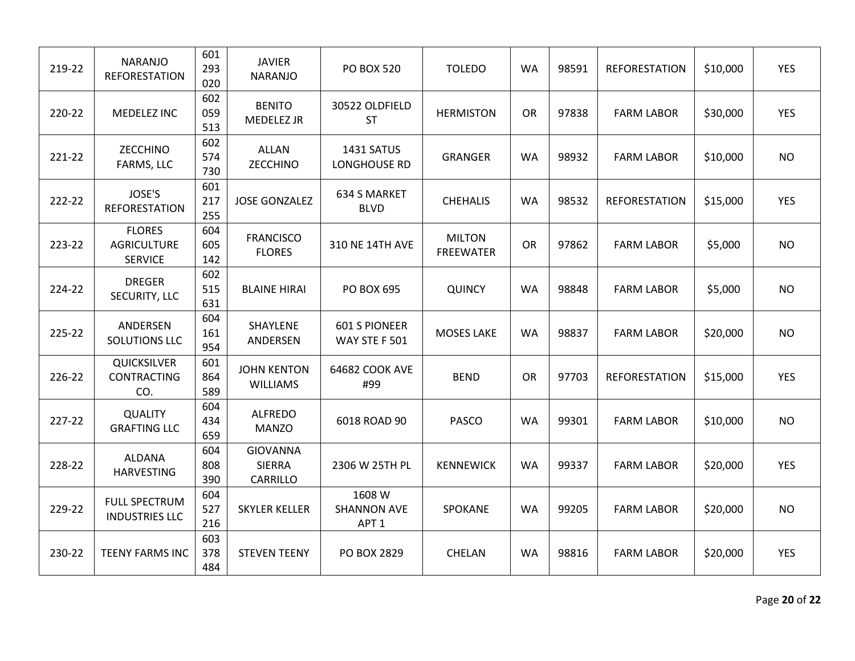| 219-22 | <b>NARANJO</b><br><b>REFORESTATION</b>                | 601<br>293<br>020 | <b>JAVIER</b><br><b>NARANJO</b>              | <b>PO BOX 520</b>                                | <b>TOLEDO</b>                     | <b>WA</b> | 98591 | <b>REFORESTATION</b> | \$10,000 | <b>YES</b> |
|--------|-------------------------------------------------------|-------------------|----------------------------------------------|--------------------------------------------------|-----------------------------------|-----------|-------|----------------------|----------|------------|
| 220-22 | MEDELEZ INC                                           | 602<br>059<br>513 | <b>BENITO</b><br>MEDELEZ JR                  | 30522 OLDFIELD<br><b>ST</b>                      | <b>HERMISTON</b>                  | <b>OR</b> | 97838 | <b>FARM LABOR</b>    | \$30,000 | <b>YES</b> |
| 221-22 | <b>ZECCHINO</b><br>FARMS, LLC                         | 602<br>574<br>730 | <b>ALLAN</b><br>ZECCHINO                     | 1431 SATUS<br>LONGHOUSE RD                       | <b>GRANGER</b>                    | <b>WA</b> | 98932 | <b>FARM LABOR</b>    | \$10,000 | <b>NO</b>  |
| 222-22 | JOSE'S<br><b>REFORESTATION</b>                        | 601<br>217<br>255 | <b>JOSE GONZALEZ</b>                         | <b>634 S MARKET</b><br><b>BLVD</b>               | <b>CHEHALIS</b>                   | <b>WA</b> | 98532 | <b>REFORESTATION</b> | \$15,000 | <b>YES</b> |
| 223-22 | <b>FLORES</b><br><b>AGRICULTURE</b><br><b>SERVICE</b> | 604<br>605<br>142 | <b>FRANCISCO</b><br><b>FLORES</b>            | 310 NE 14TH AVE                                  | <b>MILTON</b><br><b>FREEWATER</b> | <b>OR</b> | 97862 | <b>FARM LABOR</b>    | \$5,000  | <b>NO</b>  |
| 224-22 | <b>DREGER</b><br><b>SECURITY, LLC</b>                 | 602<br>515<br>631 | <b>BLAINE HIRAI</b>                          | PO BOX 695                                       | <b>QUINCY</b>                     | <b>WA</b> | 98848 | <b>FARM LABOR</b>    | \$5,000  | <b>NO</b>  |
| 225-22 | ANDERSEN<br>SOLUTIONS LLC                             | 604<br>161<br>954 | SHAYLENE<br>ANDERSEN                         | <b>601 S PIONEER</b><br>WAY STE F 501            | <b>MOSES LAKE</b>                 | <b>WA</b> | 98837 | <b>FARM LABOR</b>    | \$20,000 | <b>NO</b>  |
| 226-22 | QUICKSILVER<br><b>CONTRACTING</b><br>CO.              | 601<br>864<br>589 | <b>JOHN KENTON</b><br><b>WILLIAMS</b>        | 64682 COOK AVE<br>#99                            | <b>BEND</b>                       | <b>OR</b> | 97703 | <b>REFORESTATION</b> | \$15,000 | <b>YES</b> |
| 227-22 | <b>QUALITY</b><br><b>GRAFTING LLC</b>                 | 604<br>434<br>659 | <b>ALFREDO</b><br><b>MANZO</b>               | 6018 ROAD 90                                     | <b>PASCO</b>                      | <b>WA</b> | 99301 | <b>FARM LABOR</b>    | \$10,000 | <b>NO</b>  |
| 228-22 | <b>ALDANA</b><br><b>HARVESTING</b>                    | 604<br>808<br>390 | <b>GIOVANNA</b><br><b>SIERRA</b><br>CARRILLO | 2306 W 25TH PL                                   | <b>KENNEWICK</b>                  | <b>WA</b> | 99337 | <b>FARM LABOR</b>    | \$20,000 | <b>YES</b> |
| 229-22 | <b>FULL SPECTRUM</b><br><b>INDUSTRIES LLC</b>         | 604<br>527<br>216 | <b>SKYLER KELLER</b>                         | 1608 W<br><b>SHANNON AVE</b><br>APT <sub>1</sub> | <b>SPOKANE</b>                    | <b>WA</b> | 99205 | <b>FARM LABOR</b>    | \$20,000 | <b>NO</b>  |
| 230-22 | <b>TEENY FARMS INC</b>                                | 603<br>378<br>484 | <b>STEVEN TEENY</b>                          | PO BOX 2829                                      | CHELAN                            | <b>WA</b> | 98816 | <b>FARM LABOR</b>    | \$20,000 | <b>YES</b> |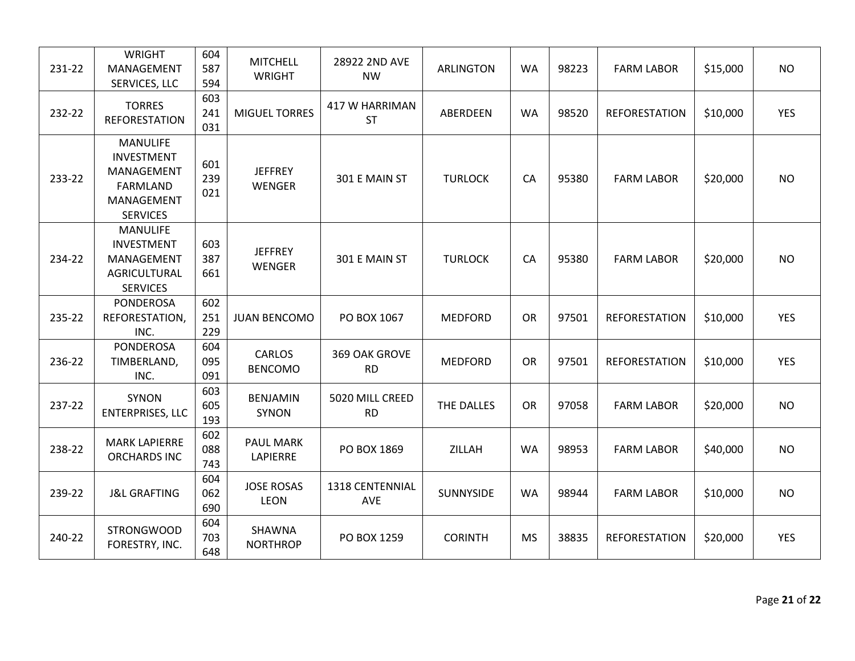| 231-22 | <b>WRIGHT</b><br>MANAGEMENT<br>SERVICES, LLC                                                           | 604<br>587<br>594 | <b>MITCHELL</b><br><b>WRIGHT</b> | 28922 2ND AVE<br><b>NW</b>    | <b>ARLINGTON</b> | <b>WA</b> | 98223 | <b>FARM LABOR</b>    | \$15,000 | <b>NO</b>  |
|--------|--------------------------------------------------------------------------------------------------------|-------------------|----------------------------------|-------------------------------|------------------|-----------|-------|----------------------|----------|------------|
| 232-22 | <b>TORRES</b><br><b>REFORESTATION</b>                                                                  | 603<br>241<br>031 | <b>MIGUEL TORRES</b>             | 417 W HARRIMAN<br><b>ST</b>   | ABERDEEN         | <b>WA</b> | 98520 | <b>REFORESTATION</b> | \$10,000 | <b>YES</b> |
| 233-22 | <b>MANULIFE</b><br><b>INVESTMENT</b><br>MANAGEMENT<br><b>FARMLAND</b><br>MANAGEMENT<br><b>SERVICES</b> | 601<br>239<br>021 | <b>JEFFREY</b><br><b>WENGER</b>  | 301 E MAIN ST                 | <b>TURLOCK</b>   | CA        | 95380 | <b>FARM LABOR</b>    | \$20,000 | <b>NO</b>  |
| 234-22 | <b>MANULIFE</b><br><b>INVESTMENT</b><br>MANAGEMENT<br><b>AGRICULTURAL</b><br><b>SERVICES</b>           | 603<br>387<br>661 | <b>JEFFREY</b><br><b>WENGER</b>  | 301 E MAIN ST                 | <b>TURLOCK</b>   | CA        | 95380 | <b>FARM LABOR</b>    | \$20,000 | <b>NO</b>  |
| 235-22 | <b>PONDEROSA</b><br>REFORESTATION,<br>INC.                                                             | 602<br>251<br>229 | <b>JUAN BENCOMO</b>              | PO BOX 1067                   | <b>MEDFORD</b>   | <b>OR</b> | 97501 | <b>REFORESTATION</b> | \$10,000 | <b>YES</b> |
| 236-22 | <b>PONDEROSA</b><br>TIMBERLAND,<br>INC.                                                                | 604<br>095<br>091 | <b>CARLOS</b><br><b>BENCOMO</b>  | 369 OAK GROVE<br><b>RD</b>    | <b>MEDFORD</b>   | <b>OR</b> | 97501 | <b>REFORESTATION</b> | \$10,000 | <b>YES</b> |
| 237-22 | <b>SYNON</b><br><b>ENTERPRISES, LLC</b>                                                                | 603<br>605<br>193 | <b>BENJAMIN</b><br><b>SYNON</b>  | 5020 MILL CREED<br><b>RD</b>  | THE DALLES       | <b>OR</b> | 97058 | <b>FARM LABOR</b>    | \$20,000 | <b>NO</b>  |
| 238-22 | <b>MARK LAPIERRE</b><br><b>ORCHARDS INC</b>                                                            | 602<br>088<br>743 | <b>PAUL MARK</b><br>LAPIERRE     | PO BOX 1869                   | ZILLAH           | <b>WA</b> | 98953 | <b>FARM LABOR</b>    | \$40,000 | <b>NO</b>  |
| 239-22 | <b>J&amp;L GRAFTING</b>                                                                                | 604<br>062<br>690 | <b>JOSE ROSAS</b><br><b>LEON</b> | 1318 CENTENNIAL<br><b>AVE</b> | <b>SUNNYSIDE</b> | <b>WA</b> | 98944 | <b>FARM LABOR</b>    | \$10,000 | <b>NO</b>  |
| 240-22 | <b>STRONGWOOD</b><br>FORESTRY, INC.                                                                    | 604<br>703<br>648 | SHAWNA<br><b>NORTHROP</b>        | PO BOX 1259                   | <b>CORINTH</b>   | <b>MS</b> | 38835 | <b>REFORESTATION</b> | \$20,000 | <b>YES</b> |